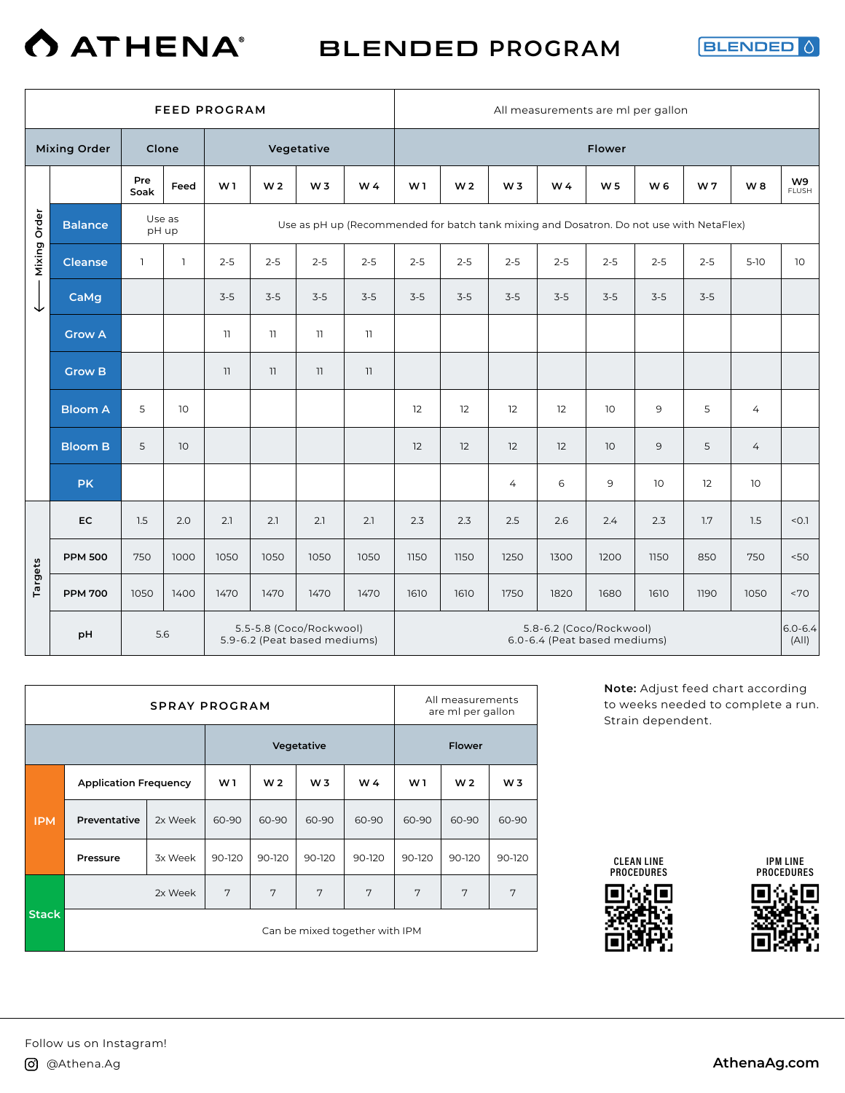

BLENDED **PROGRAM**

**BLENDED** 

|              |                     |              |              | <b>FEED PROGRAM</b>                                     |                |                |                                                                                         |                |                |                                                         |         | All measurements are ml per gallon |           |                      |                |                    |
|--------------|---------------------|--------------|--------------|---------------------------------------------------------|----------------|----------------|-----------------------------------------------------------------------------------------|----------------|----------------|---------------------------------------------------------|---------|------------------------------------|-----------|----------------------|----------------|--------------------|
|              | <b>Mixing Order</b> | Clone        |              |                                                         |                | Vegetative     |                                                                                         |                |                |                                                         |         | <b>Flower</b>                      |           |                      |                |                    |
|              |                     | Pre<br>Soak  | Feed         | W1                                                      | W <sub>2</sub> | W <sub>3</sub> | W <sub>4</sub>                                                                          | W <sub>1</sub> | W <sub>2</sub> | W <sub>3</sub>                                          | W 4     | W <sub>5</sub>                     | <b>W6</b> | W7                   | W8             | W9<br><b>FLUSH</b> |
| Mixing Order | <b>Balance</b>      | pH up        | Use as       |                                                         |                |                | Use as pH up (Recommended for batch tank mixing and Dosatron. Do not use with NetaFlex) |                |                |                                                         |         |                                    |           |                      |                |                    |
|              | <b>Cleanse</b>      | $\mathbf{1}$ | $\mathbf{1}$ | $2 - 5$                                                 | $2 - 5$        | $2 - 5$        | $2 - 5$                                                                                 | $2 - 5$        | $2 - 5$        | $2 - 5$                                                 | $2 - 5$ | $2 - 5$                            | $2 - 5$   | $2 - 5$              | $5-10$         | 10                 |
| ◡            | CaMg                |              |              | $3-5$                                                   | $3-5$          | $3 - 5$        | $3-5$                                                                                   | $3-5$          | $3-5$          | $3-5$                                                   | $3-5$   | $3-5$                              | $3-5$     | $3-5$                |                |                    |
|              | <b>Grow A</b>       |              |              | $\overline{\mathbf{u}}$                                 | 11             | 11             | 11                                                                                      |                |                |                                                         |         |                                    |           |                      |                |                    |
|              | <b>Grow B</b>       |              |              | 11                                                      | 11             | 11             | 11                                                                                      |                |                |                                                         |         |                                    |           |                      |                |                    |
|              | <b>Bloom A</b>      | 5            | 10           |                                                         |                |                |                                                                                         | 12             | 12             | 12                                                      | 12      | 10                                 | 9         | 5                    | 4              |                    |
|              | <b>Bloom B</b>      | 5            | 10           |                                                         |                |                |                                                                                         | 12             | 12             | 12                                                      | 12      | 10                                 | 9         | 5                    | $\overline{4}$ |                    |
|              | <b>PK</b>           |              |              |                                                         |                |                |                                                                                         |                |                | $\overline{4}$                                          | 6       | 9                                  | 10        | 12                   | 10             |                    |
|              | <b>EC</b>           | 1.5          | 2.0          | 2.1                                                     | 2.1            | 2.1            | 2.1                                                                                     | 2.3            | 2.3            | 2.5                                                     | 2.6     | 2.4                                | 2.3       | 1.7                  | 1.5            | < 0.1              |
|              | <b>PPM 500</b>      | 750          | 1000         | 1050                                                    | 1050           | 1050           | 1050                                                                                    | 1150           | 1150           | 1250                                                    | 1300    | 1200                               | 1150      | 850                  | 750            | 50<                |
| Targets      | <b>PPM 700</b>      | 1050         | 1400         | 1470                                                    | 1470           | 1470           | 1470                                                                                    | 1610           | 1610           | 1750                                                    | 1820    | 1680                               | 1610      | 1190                 | 1050           | <70                |
|              | pH                  |              |              | 5.5-5.8 (Coco/Rockwool)<br>5.9-6.2 (Peat based mediums) |                |                |                                                                                         |                |                | 5.8-6.2 (Coco/Rockwool)<br>6.0-6.4 (Peat based mediums) |         |                                    |           | $6.0 - 6.4$<br>(A  ) |                |                    |

|              |                              | <b>SPRAY PROGRAM</b> |                |                |                |                                |        | All measurements<br>are ml per gallon |                |
|--------------|------------------------------|----------------------|----------------|----------------|----------------|--------------------------------|--------|---------------------------------------|----------------|
|              |                              |                      |                |                | Vegetative     |                                |        | <b>Flower</b>                         |                |
|              | <b>Application Frequency</b> |                      | W <sub>1</sub> | W <sub>2</sub> | W <sub>3</sub> | W 4                            | W1     | W <sub>2</sub>                        | W <sub>3</sub> |
| <b>IPM</b>   | Preventative                 | 2x Week              | 60-90          | 60-90          | 60-90          | 60-90                          | 60-90  | 60-90                                 | 60-90          |
|              | Pressure                     | 3x Week              | 90-120         | 90-120         | 90-120         | 90-120                         | 90-120 | 90-120                                | 90-120         |
|              |                              | 2x Week              | 7              | 7              | 7              | 7                              | 7      | 7                                     | 7              |
| <b>Stack</b> |                              |                      |                |                |                | Can be mixed together with IPM |        |                                       |                |

**Note:** Adjust feed chart according to weeks needed to complete a run. Strain dependent.







 $\mathbf{I}$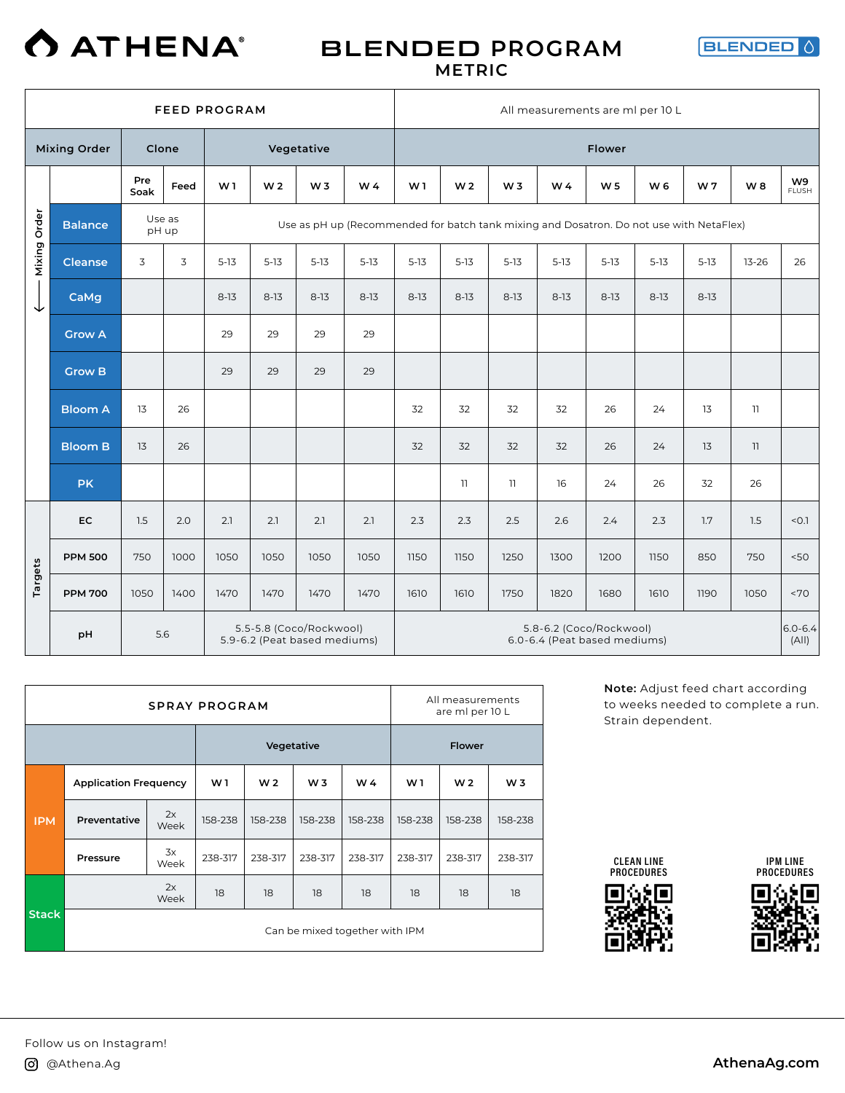

### BLENDED **PROGRAM METRIC**



|              |                     |                 |      | <b>FEED PROGRAM</b> |                |                                                         |                                                                                         |                |                |                         | All measurements are ml per 10 L                        |                |          |          |                         |                      |
|--------------|---------------------|-----------------|------|---------------------|----------------|---------------------------------------------------------|-----------------------------------------------------------------------------------------|----------------|----------------|-------------------------|---------------------------------------------------------|----------------|----------|----------|-------------------------|----------------------|
|              | <b>Mixing Order</b> | Clone           |      |                     |                | Vegetative                                              |                                                                                         |                |                |                         |                                                         | <b>Flower</b>  |          |          |                         |                      |
|              |                     | Pre<br>Soak     | Feed | W1                  | W <sub>2</sub> | W <sub>3</sub>                                          | W 4                                                                                     | W <sub>1</sub> | W <sub>2</sub> | W <sub>3</sub>          | W 4                                                     | W <sub>5</sub> | W 6      | W7       | W8                      | W9<br><b>FLUSH</b>   |
| Mixing Order | <b>Balance</b>      | Use as<br>pH up |      |                     |                |                                                         | Use as pH up (Recommended for batch tank mixing and Dosatron. Do not use with NetaFlex) |                |                |                         |                                                         |                |          |          |                         |                      |
|              | <b>Cleanse</b>      | 3               | 3    | $5 - 13$            | $5 - 13$       | $5-13$                                                  | $5 - 13$                                                                                | $5 - 13$       | $5-13$         | $5-13$                  | $5 - 13$                                                | $5 - 13$       | $5 - 13$ | $5 - 13$ | $13 - 26$               | 26                   |
| ↓            | CaMg                |                 |      | $8 - 13$            | $8-13$         | $8-13$                                                  | $8-13$                                                                                  | $8 - 13$       | $8 - 13$       | $8-13$                  | $8 - 13$                                                | $8 - 13$       | $8 - 13$ | $8 - 13$ |                         |                      |
|              | <b>Grow A</b>       |                 |      | 29                  | 29             | 29                                                      | 29                                                                                      |                |                |                         |                                                         |                |          |          |                         |                      |
|              | <b>Grow B</b>       |                 |      | 29                  | 29             | 29                                                      | 29                                                                                      |                |                |                         |                                                         |                |          |          |                         |                      |
|              | <b>Bloom A</b>      | 13              | 26   |                     |                |                                                         |                                                                                         | 32             | 32             | 32                      | 32                                                      | 26             | 24       | 13       | $\overline{\mathbf{1}}$ |                      |
|              | <b>Bloom B</b>      | 13              | 26   |                     |                |                                                         |                                                                                         | 32             | 32             | 32                      | 32                                                      | 26             | 24       | 13       | 11                      |                      |
|              | <b>PK</b>           |                 |      |                     |                |                                                         |                                                                                         |                | 11             | $\overline{\mathbf{1}}$ | 16                                                      | 24             | 26       | 32       | 26                      |                      |
|              | <b>EC</b>           | 1.5             | 2.0  | 2.1                 | 2.1            | 2.1                                                     | 2.1                                                                                     | 2.3            | 2.3            | 2.5                     | 2.6                                                     | 2.4            | 2.3      | 1.7      | 1.5                     | < 0.1                |
|              | <b>PPM 500</b>      | 750             | 1000 | 1050                | 1050           | 1050                                                    | 1050                                                                                    | 1150           | 1150           | 1250                    | 1300                                                    | 1200           | 1150     | 850      | 750                     | 50<                  |
| Targets      | <b>PPM 700</b>      | 1050            | 1400 | 1470                | 1470           | 1470                                                    | 1470                                                                                    | 1610           | 1610           | 1750                    | 1820                                                    | 1680           | 1610     | 1190     | 1050                    | <70                  |
|              | pH                  | 5.6             |      |                     |                | 5.5-5.8 (Coco/Rockwool)<br>5.9-6.2 (Peat based mediums) |                                                                                         |                |                |                         | 5.8-6.2 (Coco/Rockwool)<br>6.0-6.4 (Peat based mediums) |                |          |          |                         | $6.0 - 6.4$<br>(A  ) |

|              |                              |            | <b>SPRAY PROGRAM</b> |                |                                |         |                | All measurements<br>are ml per 10 L |                |
|--------------|------------------------------|------------|----------------------|----------------|--------------------------------|---------|----------------|-------------------------------------|----------------|
|              |                              |            |                      |                | Vegetative                     |         |                | <b>Flower</b>                       |                |
|              | <b>Application Frequency</b> |            | W <sub>1</sub>       | W <sub>2</sub> | W <sub>3</sub>                 | W4      | W <sub>1</sub> | W <sub>2</sub>                      | W <sub>3</sub> |
| <b>IPM</b>   | Preventative                 | 2x<br>Week | 158-238              | 158-238        | 158-238                        | 158-238 | 158-238        | 158-238                             | 158-238        |
|              | Pressure                     | 3x<br>Week | 238-317              | 238-317        | 238-317                        | 238-317 | 238-317        | 238-317                             | 238-317        |
|              |                              | 2x<br>Week | 18                   | 18             | 18                             | 18      | 18             | 18                                  | 18             |
| <b>Stack</b> |                              |            |                      |                | Can be mixed together with IPM |         |                |                                     |                |

**Note:** Adjust feed chart according to weeks needed to complete a run. Strain dependent.







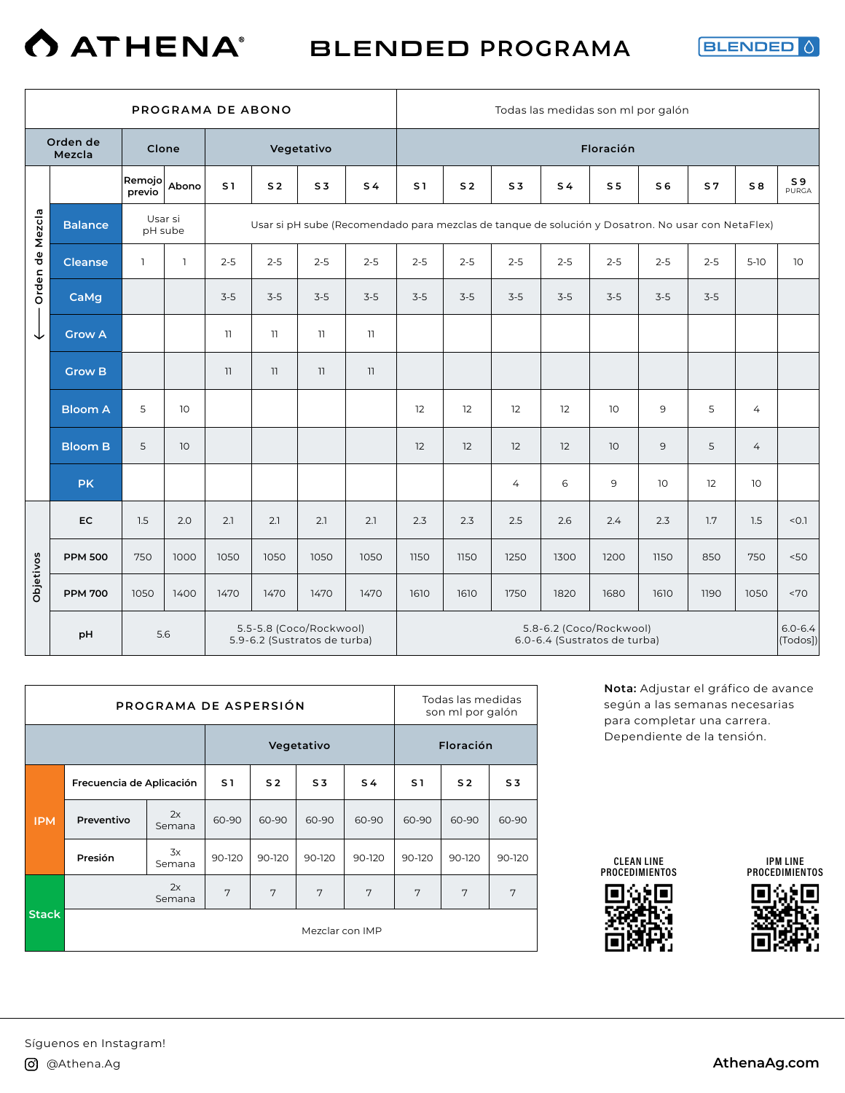

**BLENDED** 

|                 |                    |                  |                 | PROGRAMA DE ABONO        |                |                                                         |                                                                                                   |                |                |                | Todas las medidas son ml por galón                      |                 |                |                |                 |                         |
|-----------------|--------------------|------------------|-----------------|--------------------------|----------------|---------------------------------------------------------|---------------------------------------------------------------------------------------------------|----------------|----------------|----------------|---------------------------------------------------------|-----------------|----------------|----------------|-----------------|-------------------------|
|                 | Orden de<br>Mezcla | Clone            |                 |                          |                | Vegetativo                                              |                                                                                                   |                |                |                |                                                         | Floración       |                |                |                 |                         |
|                 |                    | Remojo<br>previo | Abono           | S <sub>1</sub>           | S <sub>2</sub> | S <sub>3</sub>                                          | S <sub>4</sub>                                                                                    | S <sub>1</sub> | S <sub>2</sub> | S <sub>3</sub> | S <sub>4</sub>                                          | S <sub>5</sub>  | S <sub>6</sub> | S <sub>7</sub> | S8              | S <sub>9</sub><br>PURGA |
|                 | <b>Balance</b>     | Usar si          | pH sube         |                          |                |                                                         | Usar si pH sube (Recomendado para mezclas de tanque de solución y Dosatron. No usar con NetaFlex) |                |                |                |                                                         |                 |                |                |                 |                         |
| Orden de Mezcla | <b>Cleanse</b>     | $\mathbf{1}$     | $\mathbb{1}$    | $2 - 5$                  | $2 - 5$        | $2 - 5$                                                 | $2 - 5$                                                                                           | $2 - 5$        | $2 - 5$        | $2 - 5$        | $2 - 5$                                                 | $2 - 5$         | $2 - 5$        | $2 - 5$        | $5-10$          | 10                      |
|                 | CaMg               |                  |                 | $3-5$                    | $3-5$          | $3-5$                                                   | $3-5$                                                                                             | $3-5$          | $3 - 5$        | $3-5$          | $3-5$                                                   | $3-5$           | $3-5$          | $3-5$          |                 |                         |
| ◡               | <b>Grow A</b>      |                  |                 | $\overline{\phantom{a}}$ | 11             | 11                                                      | 11                                                                                                |                |                |                |                                                         |                 |                |                |                 |                         |
|                 | <b>Grow B</b>      |                  |                 | 11                       | 11             | 11                                                      | 11                                                                                                |                |                |                |                                                         |                 |                |                |                 |                         |
|                 | <b>Bloom A</b>     | 5                | 10 <sup>°</sup> |                          |                |                                                         |                                                                                                   | 12             | 12             | 12             | 12                                                      | 10 <sup>°</sup> | 9              | 5              | 4               |                         |
|                 | <b>Bloom B</b>     | 5                | 10 <sup>°</sup> |                          |                |                                                         |                                                                                                   | 12             | 12             | 12             | 12                                                      | 10 <sup>°</sup> | 9              | 5              | $\overline{4}$  |                         |
|                 | <b>PK</b>          |                  |                 |                          |                |                                                         |                                                                                                   |                |                | 4              | 6                                                       | 9               | 10             | 12             | 10 <sup>°</sup> |                         |
|                 | <b>EC</b>          | 1.5              | 2.0             | 2.1                      | 2.1            | 2.1                                                     | 2.1                                                                                               | 2.3            | 2.3            | 2.5            | 2.6                                                     | 2.4             | 2.3            | 1.7            | 1.5             | < 0.1                   |
|                 | <b>PPM 500</b>     | 750              | 1000            | 1050                     | 1050           | 1050                                                    | 1050                                                                                              | 1150           | 1150           | 1250           | 1300                                                    | 1200            | 1150           | 850            | 750             | 50<                     |
| Objetivos       | <b>PPM 700</b>     | 1050             | 1400            | 1470                     | 1470           | 1470                                                    | 1470                                                                                              | 1610           | 1610           | 1750           | 1820                                                    | 1680            | 1610           | 1190           | 1050            | ~170                    |
|                 | pH                 |                  | 5.6             |                          |                | 5.5-5.8 (Coco/Rockwool)<br>5.9-6.2 (Sustratos de turba) |                                                                                                   |                |                |                | 5.8-6.2 (Coco/Rockwool)<br>6.0-6.4 (Sustratos de turba) |                 |                |                |                 | $6.0 - 6.4$<br>(Todos)) |

|              |                          | PROGRAMA DE ASPERSIÓN |                |                |                 |                |                | Todas las medidas<br>son ml por galón |                |
|--------------|--------------------------|-----------------------|----------------|----------------|-----------------|----------------|----------------|---------------------------------------|----------------|
|              |                          |                       |                |                | Vegetativo      |                |                | Floración                             |                |
|              | Frecuencia de Aplicación |                       | S <sub>1</sub> | S <sub>2</sub> | S <sub>3</sub>  | S <sub>4</sub> | S <sub>1</sub> | S <sub>2</sub>                        | S <sub>3</sub> |
| <b>IPM</b>   | Preventivo               | 2x<br>Semana          | 60-90          | 60-90          | 60-90           | 60-90          | 60-90          | 60-90                                 | 60-90          |
|              | Presión                  | 3x<br>Semana          | 90-120         | 90-120         | 90-120          | 90-120         | 90-120         | 90-120                                | 90-120         |
|              |                          | 2x<br>Semana          | 7              | 7              | 7               | 7              | 7              | 7                                     | 7              |
| <b>Stack</b> |                          |                       |                |                | Mezclar con IMP |                |                |                                       |                |

**Nota:** Adjustar el gráfico de avance según a las semanas necesarias para completar una carrera. Dependiente de la tensión.

CLEAN LINE PROCEDIMIENTOS



IPM LINE PROCEDIMIENTOS

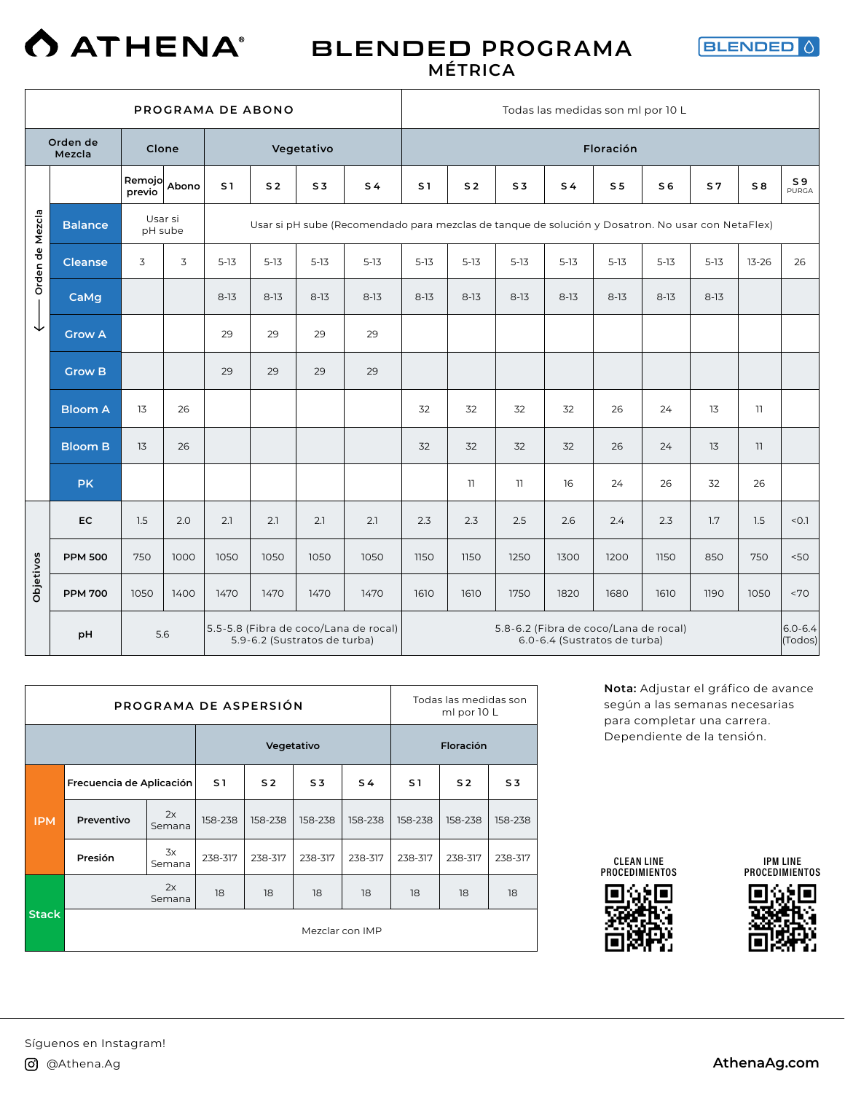

### BLENDED **PROGRAMA MÉTRICA**



|                 |                    |                    |       | PROGRAMA DE ABONO |                |                              |                                                                                                   |                |                |                                       | Todas las medidas son ml por 10 L |                |                |                |                |                         |
|-----------------|--------------------|--------------------|-------|-------------------|----------------|------------------------------|---------------------------------------------------------------------------------------------------|----------------|----------------|---------------------------------------|-----------------------------------|----------------|----------------|----------------|----------------|-------------------------|
|                 | Orden de<br>Mezcla | Clone              |       |                   |                | Vegetativo                   |                                                                                                   |                |                |                                       |                                   | Floración      |                |                |                |                         |
|                 |                    | Remojo<br>previo   | Abono | S <sub>1</sub>    | S <sub>2</sub> | S <sub>3</sub>               | S <sub>4</sub>                                                                                    | S <sub>1</sub> | S <sub>2</sub> | S <sub>3</sub>                        | S <sub>4</sub>                    | S <sub>5</sub> | S <sub>6</sub> | S <sub>7</sub> | S <sub>8</sub> | S <sub>9</sub><br>PURGA |
|                 | <b>Balance</b>     | Usar si<br>pH sube |       |                   |                |                              | Usar si pH sube (Recomendado para mezclas de tanque de solución y Dosatron. No usar con NetaFlex) |                |                |                                       |                                   |                |                |                |                |                         |
| Orden de Mezcla | <b>Cleanse</b>     | 3                  | 3     | $5 - 13$          | $5 - 13$       | $5 - 13$                     | $5 - 13$                                                                                          | $5 - 13$       | $5-13$         | $5-13$                                | $5 - 13$                          | $5 - 13$       | $5-13$         | $5-13$         | $13 - 26$      | 26                      |
|                 | CaMg               |                    |       | $8-13$            | $8-13$         | $8-13$                       | $8-13$                                                                                            | $8 - 13$       | $8-13$         | $8 - 13$                              | $8-13$                            | $8-13$         | $8 - 13$       | $8 - 13$       |                |                         |
| ↓               | <b>Grow A</b>      |                    |       | 29                | 29             | 29                           | 29                                                                                                |                |                |                                       |                                   |                |                |                |                |                         |
|                 | <b>Grow B</b>      |                    |       | 29                | 29             | 29                           | 29                                                                                                |                |                |                                       |                                   |                |                |                |                |                         |
|                 | <b>Bloom A</b>     | 13                 | 26    |                   |                |                              |                                                                                                   | 32             | 32             | 32                                    | 32                                | 26             | 24             | 13             | 11             |                         |
|                 | <b>Bloom B</b>     | 13                 | 26    |                   |                |                              |                                                                                                   | 32             | 32             | 32                                    | 32                                | 26             | 24             | 13             | 11             |                         |
|                 | <b>PK</b>          |                    |       |                   |                |                              |                                                                                                   |                | 11             | 11                                    | 16                                | 24             | 26             | 32             | 26             |                         |
|                 | <b>EC</b>          | 1.5                | 2.0   | 2.1               | 2.1            | 2.1                          | 2.1                                                                                               | 2.3            | 2.3            | 2.5                                   | 2.6                               | 2.4            | 2.3            | 1.7            | 1.5            | < 0.1                   |
| Objetivos       | <b>PPM 500</b>     | 750                | 1000  | 1050              | 1050           | 1050                         | 1050                                                                                              | 1150           | 1150           | 1250                                  | 1300                              | 1200           | 1150           | 850            | 750            | 50<                     |
|                 | <b>PPM 700</b>     | 1050               | 1400  | 1470              | 1470           | 1470                         | 1470                                                                                              | 1610           | 1610           | 1750                                  | 1820                              | 1680           | 1610           | 1190           | 1050           | <70                     |
|                 | pH                 | 5.6                |       |                   |                | 5.9-6.2 (Sustratos de turba) | 5.5-5.8 (Fibra de coco/Lana de rocal)                                                             |                |                | 5.8-6.2 (Fibra de coco/Lana de rocal) | 6.0-6.4 (Sustratos de turba)      |                |                |                |                | $6.0 - 6.4$<br>(Todos)  |

|              |                          | PROGRAMA DE ASPERSIÓN |                |                |                |                 |         | Todas las medidas son<br>ml por 10 L |                |
|--------------|--------------------------|-----------------------|----------------|----------------|----------------|-----------------|---------|--------------------------------------|----------------|
|              |                          |                       |                | Vegetativo     |                |                 |         | Floración                            |                |
|              | Frecuencia de Aplicación |                       | S <sub>1</sub> | S <sub>2</sub> | S <sub>3</sub> | S <sub>4</sub>  | S1      | S <sub>2</sub>                       | S <sub>3</sub> |
| <b>IPM</b>   | Preventivo               | 2x<br>Semana          | 158-238        | 158-238        | 158-238        | 158-238         | 158-238 | 158-238                              | 158-238        |
|              | Presión                  | 3x<br>Semana          | 238-317        | 238-317        | 238-317        | 238-317         | 238-317 | 238-317                              | 238-317        |
|              |                          | 2x<br>Semana          | 18             | 18             | 18             | 18              | 18      | 18                                   | 18             |
| <b>Stack</b> |                          |                       |                |                |                | Mezclar con IMP |         |                                      |                |

**Nota:** Adjustar el gráfico de avance según a las semanas necesarias para completar una carrera. Dependiente de la tensión.

CLEAN LINE PROCEDIMIENTOS



IPM LINE PROCEDIMIENTOS

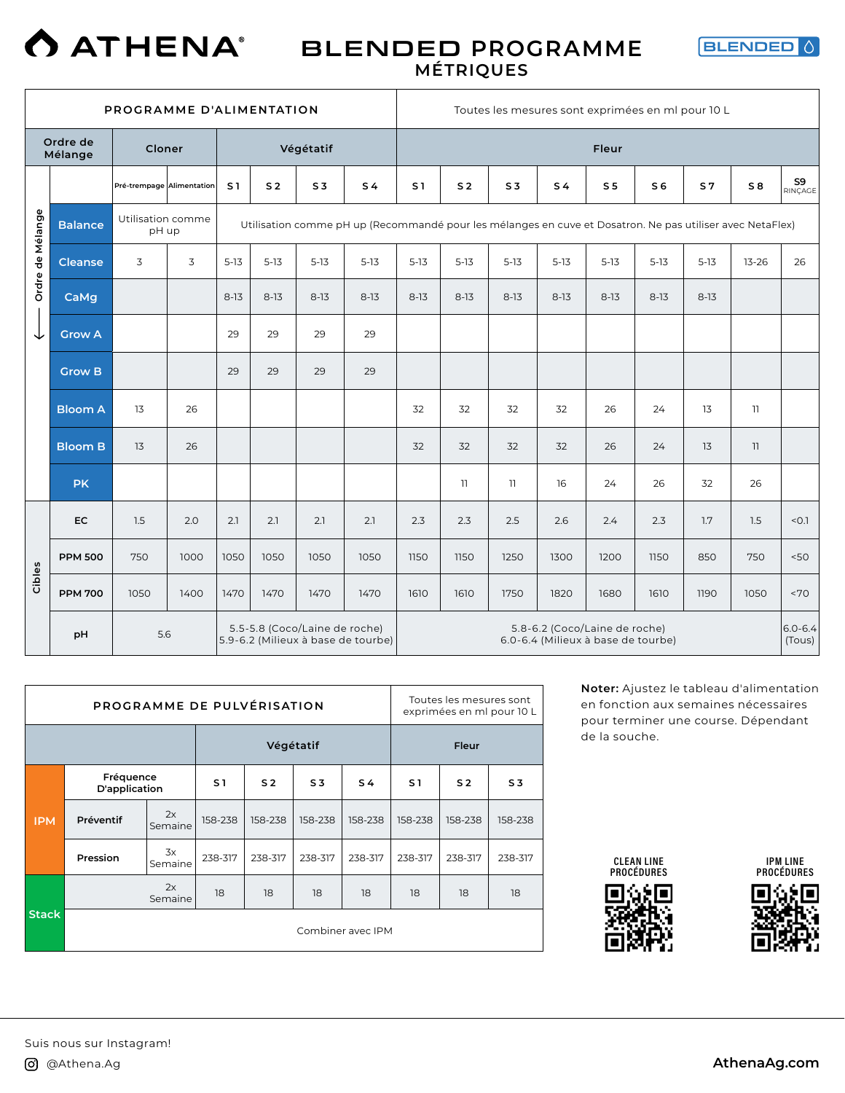

### BLENDED **PROGRAMME MÉTRIQUES**



|                  |                     | PROGRAMME D'ALIMENTATION   |      |                |                |                               |                                                                                                           |                |                |                         | Toutes les mesures sont exprimées en ml pour 10 L                   |                |                |                |                 |                       |
|------------------|---------------------|----------------------------|------|----------------|----------------|-------------------------------|-----------------------------------------------------------------------------------------------------------|----------------|----------------|-------------------------|---------------------------------------------------------------------|----------------|----------------|----------------|-----------------|-----------------------|
|                  | Ordre de<br>Mélange | Cloner                     |      |                |                | Végétatif                     |                                                                                                           |                |                |                         |                                                                     | Fleur          |                |                |                 |                       |
|                  |                     | Pré-trempage Alimentation  |      | S <sub>1</sub> | S <sub>2</sub> | S <sub>3</sub>                | S <sub>4</sub>                                                                                            | S <sub>1</sub> | S <sub>2</sub> | S <sub>3</sub>          | S <sub>4</sub>                                                      | S <sub>5</sub> | S <sub>6</sub> | S <sub>7</sub> | S8              | S9<br>RINCAGE         |
| Ordre de Mélange | <b>Balance</b>      | Utilisation comme<br>pH up |      |                |                |                               | Utilisation comme pH up (Recommandé pour les mélanges en cuve et Dosatron. Ne pas utiliser avec NetaFlex) |                |                |                         |                                                                     |                |                |                |                 |                       |
|                  | <b>Cleanse</b>      | 3                          | 3    | $5 - 13$       | $5-13$         | $5 - 13$                      | $5 - 13$                                                                                                  | $5 - 13$       | $5 - 13$       | $5-13$                  | $5 - 13$                                                            | $5-13$         | $5-13$         | $5 - 13$       | $13 - 26$       | 26                    |
|                  | CaMg                |                            |      | $8-13$         | $8-13$         | $8-13$                        | $8-13$                                                                                                    | $8 - 13$       | $8-13$         | $8-13$                  | $8-13$                                                              | $8-13$         | $8-13$         | $8-13$         |                 |                       |
| ↓                | <b>Grow A</b>       |                            |      | 29             | 29             | 29                            | 29                                                                                                        |                |                |                         |                                                                     |                |                |                |                 |                       |
|                  | <b>Grow B</b>       |                            |      | 29             | 29             | 29                            | 29                                                                                                        |                |                |                         |                                                                     |                |                |                |                 |                       |
|                  | <b>Bloom A</b>      | 13                         | 26   |                |                |                               |                                                                                                           | 32             | 32             | 32                      | 32                                                                  | 26             | 24             | 13             | $\overline{11}$ |                       |
|                  | <b>Bloom B</b>      | 13                         | 26   |                |                |                               |                                                                                                           | 32             | 32             | 32                      | 32                                                                  | 26             | 24             | 13             | 11              |                       |
|                  | <b>PK</b>           |                            |      |                |                |                               |                                                                                                           |                | 11             | $\overline{\mathbf{1}}$ | 16                                                                  | 24             | 26             | 32             | 26              |                       |
|                  | EC                  | 1.5                        | 2.0  | 2.1            | 2.1            | 2.1                           | 2.1                                                                                                       | 2.3            | 2.3            | 2.5                     | 2.6                                                                 | 2.4            | 2.3            | 1.7            | 1.5             | $-0.1$                |
|                  | <b>PPM 500</b>      | 750                        | 1000 | 1050           | 1050           | 1050                          | 1050                                                                                                      | 1150           | 1150           | 1250                    | 1300                                                                | 1200           | 1150           | 850            | 750             | 50<                   |
| Cibles           | <b>PPM 700</b>      | 1050                       | 1400 | 1470           | 1470           | 1470                          | 1470                                                                                                      | 1610           | 1610           | 1750                    | 1820                                                                | 1680           | 1610           | 1190           | 1050            | <70                   |
|                  | pH                  | 5.6                        |      |                |                | 5.5-5.8 (Coco/Laine de roche) | 5.9-6.2 (Milieux à base de tourbe)                                                                        |                |                |                         | 5.8-6.2 (Coco/Laine de roche)<br>6.0-6.4 (Milieux à base de tourbe) |                |                |                |                 | $6.0 - 6.4$<br>(Tous) |

|            | PROGRAMME DE PULVÉRISATION |               |                |                |                |                   |                | Toutes les mesures sont<br>exprimées en ml pour 10 L |                |
|------------|----------------------------|---------------|----------------|----------------|----------------|-------------------|----------------|------------------------------------------------------|----------------|
|            |                            |               |                | Végétatif      |                |                   |                | Fleur                                                |                |
|            | Fréquence<br>D'application |               | S <sub>1</sub> | S <sub>2</sub> | S <sub>3</sub> | S <sub>4</sub>    | S <sub>1</sub> | S <sub>2</sub>                                       | S <sub>3</sub> |
| <b>IPM</b> | Préventif                  | 2x<br>Semaine | 158-238        | 158-238        | 158-238        | 158-238           | 158-238        | 158-238                                              | 158-238        |
|            | Pression                   | 3x<br>Semaine | 238-317        | 238-317        | 238-317        | 238-317           | 238-317        | 238-317                                              | 238-317        |
|            |                            | 2x<br>Semaine | 18             | 18             | 18             | 18                | 18             | 18                                                   | 18             |
| Stack      |                            |               |                |                |                | Combiner avec IPM |                |                                                      |                |

**Noter:** Ajustez le tableau d'alimentation en fonction aux semaines nécessaires pour terminer une course. Dépendant de la souche.







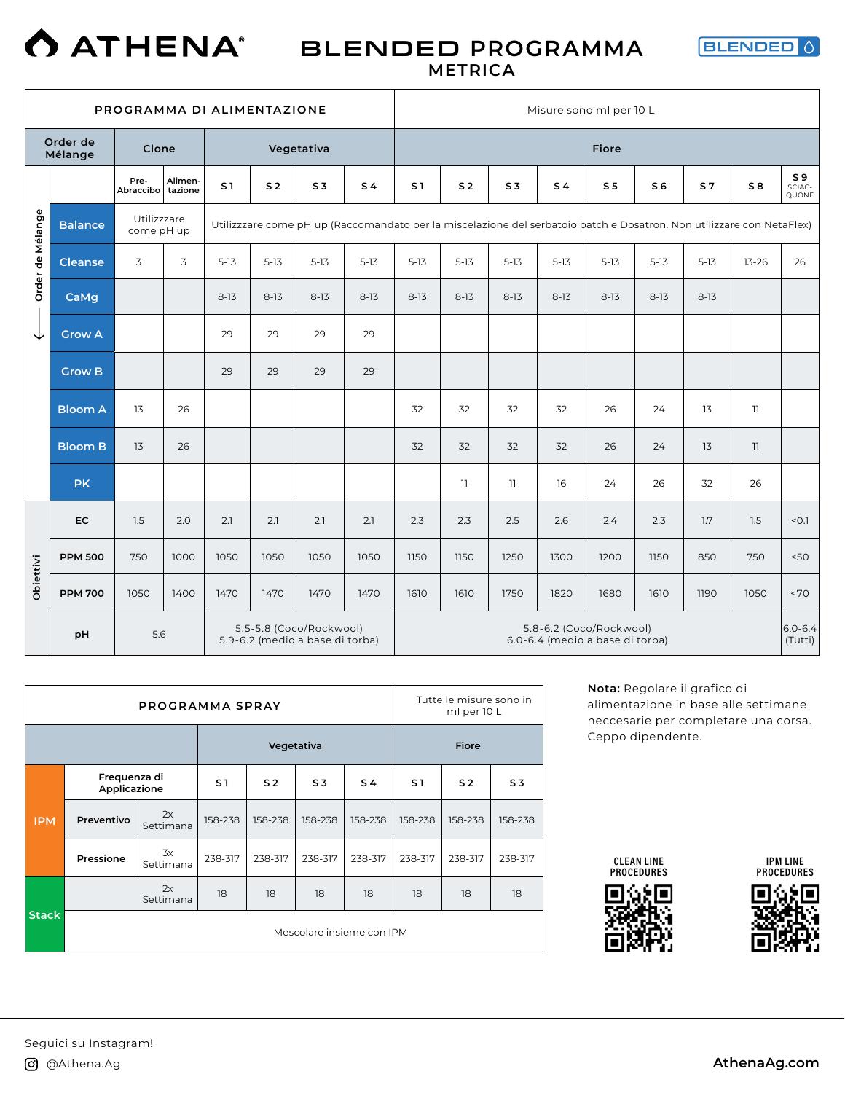

### BLENDED **PROGRAMMA METRICA**



|                  | PROGRAMMA DI ALIMENTAZIONE<br>Order de<br>Clone<br>Vegetativa<br>Mélange<br>Pre-<br>Alimen-<br>S <sub>1</sub><br>S <sub>2</sub><br>S <sub>3</sub><br>Abraccibo tazione<br>Utilizzzare<br><b>Balance</b><br>Utilizzzare come pH up (Raccomandato per la miscelazione del serbatoio batch e Dosatron. Non utilizzare con NetaFlex)<br>come pH up<br>3<br>3<br><b>Cleanse</b><br>$5 - 13$<br>$5-13$<br>$5 - 13$<br>$8-13$<br>CaMg<br>$8-13$<br>$8 - 13$ |      |      |      |      |                                                            |                |                |                |                | Misure sono ml per 10 L |                                                            |                |                |                          |                                   |
|------------------|------------------------------------------------------------------------------------------------------------------------------------------------------------------------------------------------------------------------------------------------------------------------------------------------------------------------------------------------------------------------------------------------------------------------------------------------------|------|------|------|------|------------------------------------------------------------|----------------|----------------|----------------|----------------|-------------------------|------------------------------------------------------------|----------------|----------------|--------------------------|-----------------------------------|
|                  |                                                                                                                                                                                                                                                                                                                                                                                                                                                      |      |      |      |      |                                                            |                |                |                |                |                         | <b>Fiore</b>                                               |                |                |                          |                                   |
|                  |                                                                                                                                                                                                                                                                                                                                                                                                                                                      |      |      |      |      |                                                            | S <sub>4</sub> | S <sub>1</sub> | S <sub>2</sub> | S <sub>3</sub> | S <sub>4</sub>          | S <sub>5</sub>                                             | S <sub>6</sub> | S <sub>7</sub> | S8                       | S <sub>9</sub><br>SCIAC-<br>QUONE |
|                  |                                                                                                                                                                                                                                                                                                                                                                                                                                                      |      |      |      |      |                                                            |                |                |                |                |                         |                                                            |                |                |                          |                                   |
| Order de Mélange |                                                                                                                                                                                                                                                                                                                                                                                                                                                      |      |      |      |      |                                                            | $5-13$         | $5-13$         | $5 - 13$       | $5-13$         | $5-13$                  | $5 - 13$                                                   | $5-13$         | $5-13$         | $13 - 26$                | 26                                |
|                  |                                                                                                                                                                                                                                                                                                                                                                                                                                                      |      |      |      |      |                                                            | $8 - 13$       | $8 - 13$       | $8-13$         | $8-13$         | $8 - 13$                | $8-13$                                                     | $8-13$         | $8-13$         |                          |                                   |
| ↓                | <b>Grow A</b>                                                                                                                                                                                                                                                                                                                                                                                                                                        |      |      | 29   | 29   | 29                                                         | 29             |                |                |                |                         |                                                            |                |                |                          |                                   |
|                  | <b>Grow B</b>                                                                                                                                                                                                                                                                                                                                                                                                                                        |      |      | 29   | 29   | 29                                                         | 29             |                |                |                |                         |                                                            |                |                |                          |                                   |
|                  | <b>Bloom A</b>                                                                                                                                                                                                                                                                                                                                                                                                                                       | 13   | 26   |      |      |                                                            |                | 32             | 32             | 32             | 32                      | 26                                                         | 24             | 13             | 11                       |                                   |
|                  | <b>Bloom B</b>                                                                                                                                                                                                                                                                                                                                                                                                                                       | 13   | 26   |      |      |                                                            |                | 32             | 32             | 32             | 32                      | 26                                                         | 24             | 13             | $\overline{\phantom{a}}$ |                                   |
|                  | <b>PK</b>                                                                                                                                                                                                                                                                                                                                                                                                                                            |      |      |      |      |                                                            |                |                | 11             | $\overline{1}$ | 16                      | 24                                                         | 26             | 32             | 26                       |                                   |
|                  | EC                                                                                                                                                                                                                                                                                                                                                                                                                                                   | 1.5  | 2.0  | 2.1  | 2.1  | 2.1                                                        | 2.1            | 2.3            | 2.3            | 2.5            | 2.6                     | 2.4                                                        | 2.3            | 1.7            | 1.5                      | < 0.1                             |
|                  | <b>PPM 500</b>                                                                                                                                                                                                                                                                                                                                                                                                                                       | 750  | 1000 | 1050 | 1050 | 1050                                                       | 1050           | 1150           | 1150           | 1250           | 1300                    | 1200                                                       | 1150           | 850            | 750                      | 50<                               |
| <b>Obiettivi</b> | <b>PPM 700</b>                                                                                                                                                                                                                                                                                                                                                                                                                                       | 1050 | 1400 | 1470 | 1470 | 1470                                                       | 1470           | 1610           | 1610           | 1750           | 1820                    | 1680                                                       | 1610           | 1190           | 1050                     | <70                               |
|                  | pH                                                                                                                                                                                                                                                                                                                                                                                                                                                   | 5.6  |      |      |      | 5.5-5.8 (Coco/Rockwool)<br>5.9-6.2 (medio a base di torba) |                |                |                |                |                         | 5.8-6.2 (Coco/Rockwool)<br>6.0-6.4 (medio a base di torba) |                |                |                          | $6.0 - 6.4$<br>(Tutti)            |

|              |                              | PROGRAMMA SPRAY |         |                |                |                           |         | Tutte le misure sono in<br>ml per 10 L |                |
|--------------|------------------------------|-----------------|---------|----------------|----------------|---------------------------|---------|----------------------------------------|----------------|
|              |                              |                 |         | Vegetativa     |                |                           |         | <b>Fiore</b>                           |                |
|              | Frequenza di<br>Applicazione |                 | S1      | S <sub>2</sub> | S <sub>3</sub> | S <sub>4</sub>            | S1      | S <sub>2</sub>                         | S <sub>3</sub> |
| <b>IPM</b>   | Preventivo                   | 2x<br>Settimana | 158-238 | 158-238        | 158-238        | 158-238                   | 158-238 | 158-238                                | 158-238        |
|              | Pressione                    | 3x<br>Settimana | 238-317 | 238-317        | 238-317        | 238-317                   | 238-317 | 238-317                                | 238-317        |
|              |                              | 2x<br>Settimana | 18      | 18             | 18             | 18                        | 18      | 18                                     | 18             |
| <b>Stack</b> |                              |                 |         |                |                | Mescolare insieme con IPM |         |                                        |                |

**Nota:** Regolare il grafico di alimentazione in base alle settimane neccesarie per completare una corsa. Ceppo dipendente.







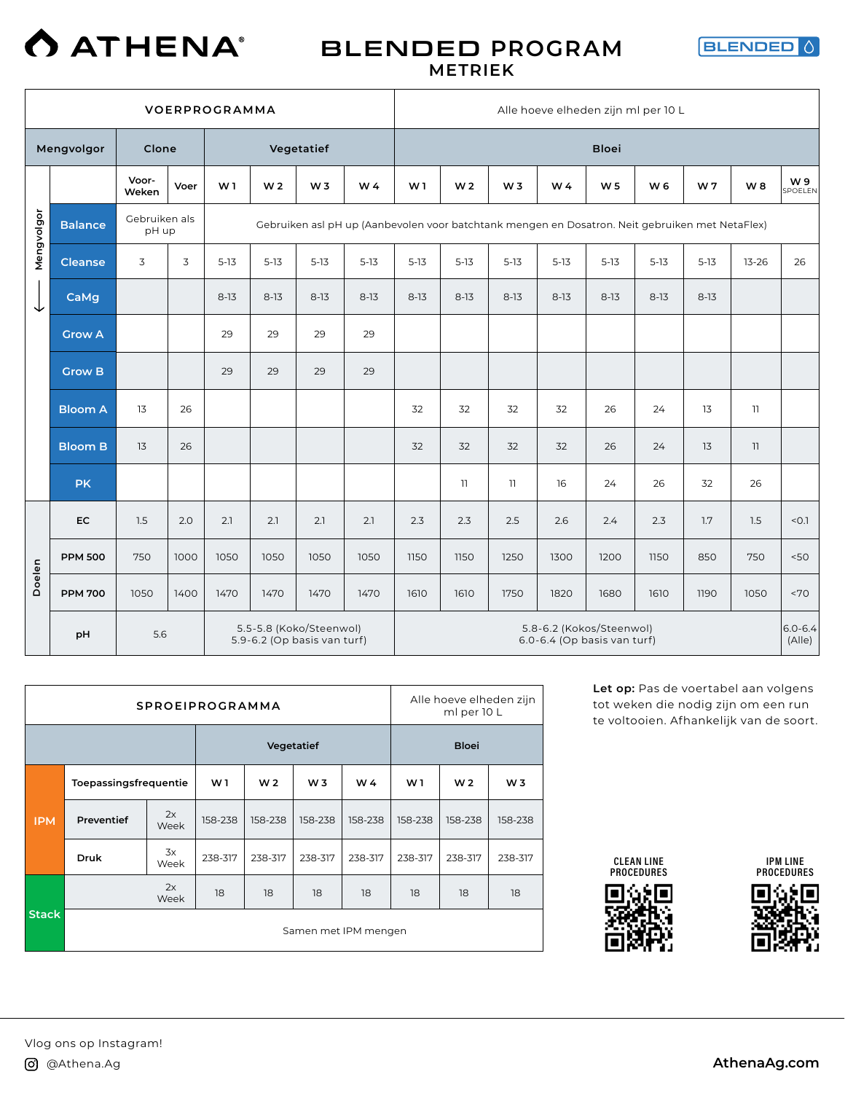

### BLENDED **PROGRAM METRIEK**



|            |                |                        |      | <b>VOERPROGRAMMA</b> |                                              |                                                        |                                                                                                 |                |                |                |          | Alle hoeve elheden zijn ml per 10 L                     |                |                |                |                       |
|------------|----------------|------------------------|------|----------------------|----------------------------------------------|--------------------------------------------------------|-------------------------------------------------------------------------------------------------|----------------|----------------|----------------|----------|---------------------------------------------------------|----------------|----------------|----------------|-----------------------|
|            | Mengvolgor     | Clone                  |      |                      |                                              | Vegetatief                                             |                                                                                                 |                |                |                |          | <b>Bloei</b>                                            |                |                |                |                       |
|            |                | Voor-<br>Weken         | Voer | W <sub>1</sub>       | W <sub>2</sub>                               | W <sub>3</sub>                                         | W4                                                                                              | W <sub>1</sub> | W <sub>2</sub> | W <sub>3</sub> | W 4      | W <sub>5</sub>                                          | W <sub>6</sub> | W <sub>7</sub> | W <sub>8</sub> | W9<br>SPOELEN         |
| Mengvolgor | <b>Balance</b> | Gebruiken als<br>pH up |      |                      |                                              |                                                        | Gebruiken asl pH up (Aanbevolen voor batchtank mengen en Dosatron. Neit gebruiken met NetaFlex) |                |                |                |          |                                                         |                |                |                |                       |
|            | <b>Cleanse</b> | 3                      | 3    | $5-13$               | $5 - 13$                                     | $5 - 13$                                               | $5 - 13$                                                                                        | $5-13$         | $5 - 13$       | $5-13$         | $5 - 13$ | $5 - 13$                                                | $5-13$         | $5 - 13$       | $13 - 26$      | 26                    |
| ↓          | CaMg           |                        |      | $8 - 13$             | $8 - 13$                                     | $8 - 13$                                               | $8-13$                                                                                          | $8-13$         | $8-13$         | $8 - 13$       | $8 - 13$ | $8-13$                                                  | $8 - 13$       | $8-13$         |                |                       |
|            | <b>Grow A</b>  |                        |      | 29                   | 29                                           | 29                                                     | 29                                                                                              |                |                |                |          |                                                         |                |                |                |                       |
|            | <b>Grow B</b>  |                        |      | 29                   | 29                                           | 29                                                     | 29                                                                                              |                |                |                |          |                                                         |                |                |                |                       |
|            | <b>Bloom A</b> | 13                     | 26   |                      | 32<br>32<br>32<br>32<br>24<br>13<br>11<br>26 |                                                        |                                                                                                 |                |                |                |          |                                                         |                |                |                |                       |
|            | <b>Bloom B</b> | 13                     | 26   |                      |                                              |                                                        |                                                                                                 | 32             | 32             | 32             | 32       | 26                                                      | 24             | 13             | 11             |                       |
|            | <b>PK</b>      |                        |      |                      |                                              |                                                        |                                                                                                 |                | 11             | $\overline{1}$ | 16       | 24                                                      | 26             | 32             | 26             |                       |
|            | EC             | 1.5                    | 2.0  | 2.1                  | 2.1                                          | 2.1                                                    | 2.1                                                                                             | 2.3            | 2.3            | 2.5            | 2.6      | 2.4                                                     | 2.3            | 1.7            | 1.5            | < 0.1                 |
|            | <b>PPM 500</b> | 750                    | 1000 | 1050                 | 1050                                         | 1050                                                   | 1050                                                                                            | 1150           | 1150           | 1250           | 1300     | 1200                                                    | 1150           | 850            | 750            | 50<                   |
| Doelen     | <b>PPM 700</b> | 1050                   | 1400 | 1470                 | 1470                                         | 1470                                                   | 1470                                                                                            | 1610           | 1610           | 1750           | 1820     | 1680                                                    | 1610           | 1190           | 1050           | <70                   |
|            | pH             | 5.6                    |      |                      |                                              | 5.5-5.8 (Koko/Steenwol)<br>5.9-6.2 (Op basis van turf) |                                                                                                 |                |                |                |          | 5.8-6.2 (Kokos/Steenwol)<br>6.0-6.4 (Op basis van turf) |                |                |                | $6.0 - 6.4$<br>(Alle) |

|              |                       |            | <b>SPROEIPROGRAMMA</b> |                |                |                      |                | Alle hoeve elheden zijn<br>ml per 10 L |                |
|--------------|-----------------------|------------|------------------------|----------------|----------------|----------------------|----------------|----------------------------------------|----------------|
|              |                       |            |                        |                | Vegetatief     |                      |                | <b>Bloei</b>                           |                |
|              | Toepassingsfrequentie |            | W1                     | W <sub>2</sub> | W <sub>3</sub> | W 4                  | W <sub>1</sub> | W <sub>2</sub>                         | W <sub>3</sub> |
| <b>IPM</b>   | Preventief            | 2x<br>Week | 158-238                | 158-238        | 158-238        | 158-238              | 158-238        | 158-238                                | 158-238        |
|              | Druk                  | 3x<br>Week | 238-317                | 238-317        | 238-317        | 238-317              | 238-317        | 238-317                                | 238-317        |
|              |                       | 2x<br>Week | 18                     | 18             | 18             | 18                   | 18             | 18                                     | 18             |
| <b>Stack</b> |                       |            |                        |                |                | Samen met IPM mengen |                |                                        |                |

**Let op:** Pas de voertabel aan volgens tot weken die nodig zijn om een run te voltooien. Afhankelijk van de soort.







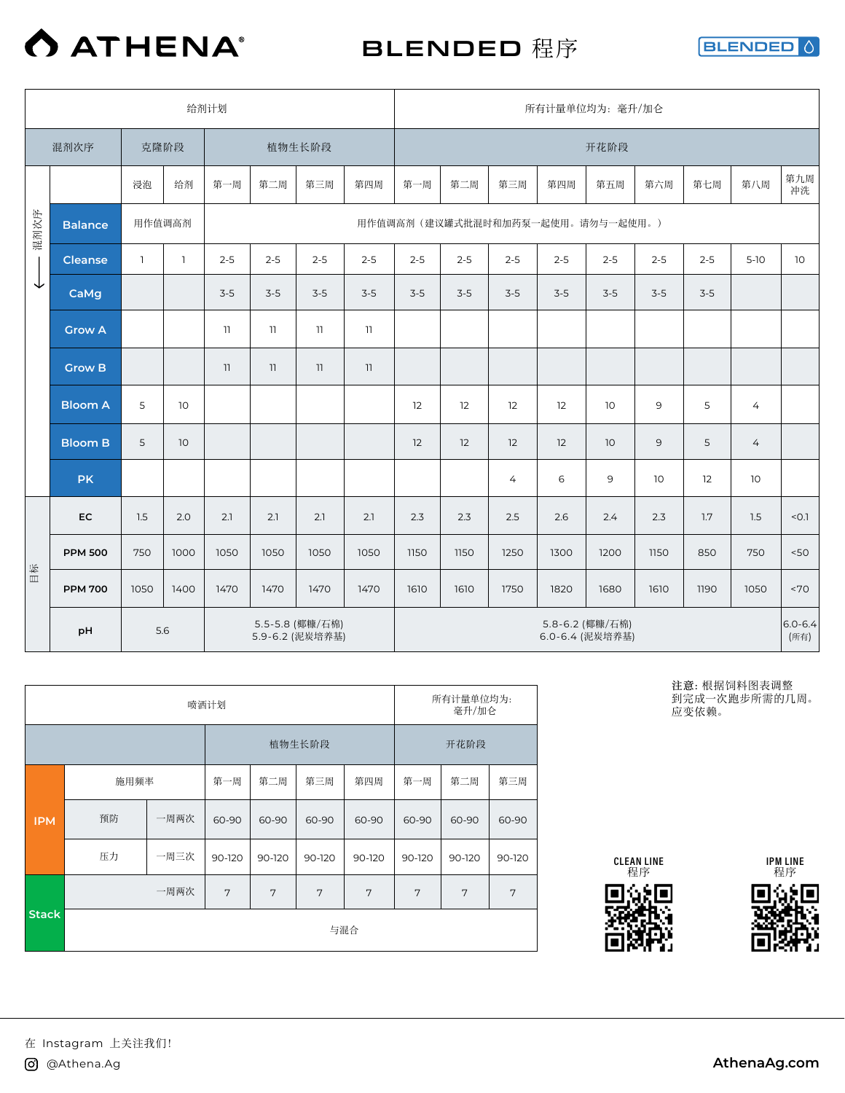

BLENDED 程序

**BLENDED** ♦

|      |                                                 |              |              | 给剂计划    |         |                          |         |         |         |         | 所有计量单位均为: 毫升/加仑                    |         |                |         |                     |                 |
|------|-------------------------------------------------|--------------|--------------|---------|---------|--------------------------|---------|---------|---------|---------|------------------------------------|---------|----------------|---------|---------------------|-----------------|
|      | 混剂次序                                            | 克隆阶段         |              |         |         | 植物生长阶段                   |         |         |         |         |                                    | 开花阶段    |                |         |                     |                 |
|      |                                                 | 浸泡           | 给剂           | 第一周     | 第二周     | 第三周                      | 第四周     | 第一周     | 第二周     | 第三周     | 第四周                                | 第五周     | 第六周            | 第七周     | 第八周                 | 第九周<br>冲洗       |
| 混剂次序 | <b>Balance</b>                                  | 用作值调高剂       |              |         |         |                          |         |         |         |         | 用作值调高剂(建议罐式批混时和加药泵一起使用。请勿与一起使用。)   |         |                |         |                     |                 |
|      | <b>Cleanse</b>                                  | $\mathbf{1}$ | $\mathbb{1}$ | $2 - 5$ | $2 - 5$ | $2 - 5$                  | $2 - 5$ | $2 - 5$ | $2 - 5$ | $2 - 5$ | $2 - 5$                            | $2 - 5$ | $2 - 5$        | $2 - 5$ | $5-10$              | 10 <sup>°</sup> |
| ↓    | CaMg                                            |              |              | $3-5$   | $3-5$   | $3-5$                    | $3-5$   | $3-5$   | $3 - 5$ | $3-5$   | $3-5$                              | $3-5$   | $3-5$          | $3-5$   |                     |                 |
|      | <b>Grow A</b>                                   |              |              | 11      | 11      | 11                       | 11      |         |         |         |                                    |         |                |         |                     |                 |
|      | <b>Grow B</b>                                   |              |              | 11      | 11      | $\overline{\phantom{a}}$ | 11      |         |         |         |                                    |         |                |         |                     |                 |
|      | <b>Bloom A</b>                                  | 5            | 10           |         |         |                          |         | 12      | 12      | 12      | 12                                 | 10      | 9              | 5       | $\overline{4}$      |                 |
|      | <b>Bloom B</b>                                  | 5            | 10           |         |         |                          |         | 12      | 12      | 12      | 12                                 | 10      | $\overline{9}$ | 5       | $\overline{4}$      |                 |
|      | <b>PK</b>                                       |              |              |         |         |                          |         |         |         | 4       | 6                                  | 9       | 10             | 12      | 10 <sup>°</sup>     |                 |
|      | <b>EC</b>                                       | 1.5          | 2.0          | 2.1     | 2.1     | 2.1                      | 2.1     | 2.3     | 2.3     | 2.5     | 2.6                                | 2.4     | 2.3            | 1.7     | 1.5                 | < 0.1           |
|      | <b>PPM 500</b>                                  | 750          | 1000         | 1050    | 1050    | 1050                     | 1050    | 1150    | 1150    | 1250    | 1300                               | 1200    | 1150           | 850     | 750                 | 50<             |
| 目标   | <b>PPM 700</b>                                  | 1050         | 1400         | 1470    | 1470    | 1470                     | 1470    | 1610    | 1610    | 1750    | 1820                               | 1680    | 1610           | 1190    | 1050                | <70             |
|      | 5.5-5.8 (椰糠/石棉)<br>5.6<br>pH<br>5.9-6.2 (泥炭培养基) |              |              |         |         |                          |         |         |         |         | 5.8-6.2 (椰糠/石棉)<br>6.0-6.4 (泥炭培养基) |         |                |         | $6.0 - 6.4$<br>(所有) |                 |

|              |      |      | 喷洒计划   |        |        |        |        | 所有计量单位均为:<br>毫升/加仑 |        |
|--------------|------|------|--------|--------|--------|--------|--------|--------------------|--------|
|              |      |      |        |        | 植物生长阶段 |        |        | 开花阶段               |        |
|              | 施用频率 |      | 第一周    | 第二周    | 第三周    | 第四周    | 第一周    | 第二周                | 第三周    |
| <b>IPM</b>   | 预防   | 一周两次 | 60-90  | 60-90  | 60-90  | 60-90  | 60-90  | 60-90              | 60-90  |
|              | 压力   | 一周三次 | 90-120 | 90-120 | 90-120 | 90-120 | 90-120 | 90-120             | 90-120 |
|              |      | 一周两次 | 7      | 7      | 7      | 7      | 7      | 7                  | 7      |
| <b>Stack</b> |      |      |        |        |        | 与混合    |        |                    |        |

**注意:**根据饲料图表调整 到完成一次跑步所需的几周。 应变依赖。





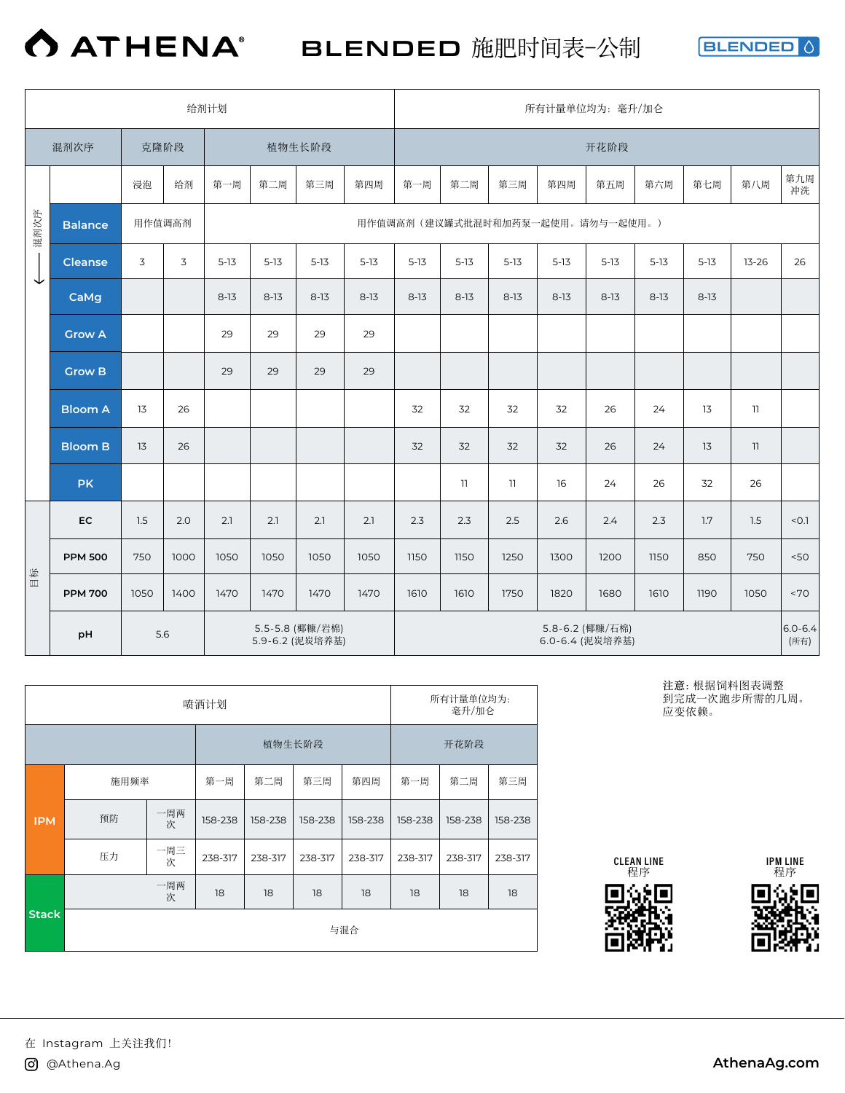

BLENDED 施肥时间表-公制

**BLENDED** 0

|      |                                                 |        |      | 给剂计划     |          |          |          |          |                                    |              | 所有计量单位均为: 毫升/加仑                   |          |                     |          |           |           |
|------|-------------------------------------------------|--------|------|----------|----------|----------|----------|----------|------------------------------------|--------------|-----------------------------------|----------|---------------------|----------|-----------|-----------|
|      | 混剂次序                                            |        | 克隆阶段 |          |          | 植物生长阶段   |          |          |                                    |              |                                   | 开花阶段     |                     |          |           |           |
|      |                                                 | 浸泡     | 给剂   | 第一周      | 第二周      | 第三周      | 第四周      | 第一周      | 第二周                                | 第三周          | 第四周                               | 第五周      | 第六周                 | 第七周      | 第八周       | 第九周<br>冲洗 |
| 混剂次序 | <b>Balance</b>                                  | 用作值调高剂 |      |          |          |          |          |          |                                    |              | 用作值调高剂 (建议罐式批混时和加药泵一起使用。请勿与一起使用。) |          |                     |          |           |           |
|      | <b>Cleanse</b>                                  | 3      | 3    | $5 - 13$ | $5 - 13$ | $5 - 13$ | $5 - 13$ | $5 - 13$ | $5-13$                             | $5-13$       | $5-13$                            | $5 - 13$ | $5-13$              | $5-13$   | $13 - 26$ | 26        |
| ↓    | CaMg                                            |        |      | $8-13$   | $8-13$   | $8-13$   | $8 - 13$ | $8-13$   | $8-13$                             | $8 - 13$     | $8-13$                            | $8 - 13$ | $8 - 13$            | $8 - 13$ |           |           |
|      | <b>Grow A</b>                                   |        |      | 29       | 29       | 29       | 29       |          |                                    |              |                                   |          |                     |          |           |           |
|      | <b>Grow B</b>                                   |        |      | 29       | 29       | 29       | 29       |          |                                    |              |                                   |          |                     |          |           |           |
|      | <b>Bloom A</b>                                  | 13     | 26   |          |          |          |          | 32       | 32                                 | 32           | 32                                | 26       | 24                  | 13       | 11        |           |
|      | <b>Bloom B</b>                                  | 13     | 26   |          |          |          |          | 32       | 32                                 | 32           | 32                                | 26       | 24                  | 13       | 11        |           |
|      | <b>PK</b>                                       |        |      |          |          |          |          |          | 11                                 | $\mathbb{I}$ | 16                                | 24       | 26                  | 32       | 26        |           |
|      | EC                                              | 1.5    | 2.0  | 2.1      | 2.1      | 2.1      | 2.1      | 2.3      | 2.3                                | 2.5          | 2.6                               | 2.4      | 2.3                 | 1.7      | 1.5       | < 0.1     |
|      | <b>PPM 500</b>                                  | 750    | 1000 | 1050     | 1050     | 1050     | 1050     | 1150     | 1150                               | 1250         | 1300                              | 1200     | 1150                | 850      | 750       | 50<       |
| 目标   | <b>PPM 700</b>                                  | 1050   | 1400 | 1470     | 1470     | 1470     | 1470     | 1610     | 1610                               | 1750         | 1820                              | 1680     | 1610                | 1190     | 1050      | <70       |
|      | 5.5-5.8 (椰糠/岩棉)<br>5.6<br>pH<br>5.9-6.2 (泥炭培养基) |        |      |          |          |          |          |          | 5.8-6.2 (椰糠/石棉)<br>6.0-6.4 (泥炭培养基) |              |                                   |          | $6.0 - 6.4$<br>(所有) |          |           |           |

|              |      |          | 喷洒计划    |         |         |         |         | 所有计量单位均为:<br>毫升/加仑 |         |
|--------------|------|----------|---------|---------|---------|---------|---------|--------------------|---------|
|              |      |          |         |         | 植物生长阶段  |         |         | 开花阶段               |         |
|              | 施用频率 |          | 第一周     | 第二周     | 第三周     | 第四周     | 第一周     | 第二周                | 第三周     |
| <b>IPM</b>   | 预防   | 一周两<br>次 | 158-238 | 158-238 | 158-238 | 158-238 | 158-238 | 158-238            | 158-238 |
|              | 压力   | 一周三<br>次 | 238-317 | 238-317 | 238-317 | 238-317 | 238-317 | 238-317            | 238-317 |
|              |      | 一周两<br>次 | 18      | 18      | 18      | 18      | 18      | 18                 | 18      |
| <b>Stack</b> |      |          |         |         |         | 与混合     |         |                    |         |

**注意:**根据饲料图表调整 到完成一次跑步所需的几周。 应变依赖。



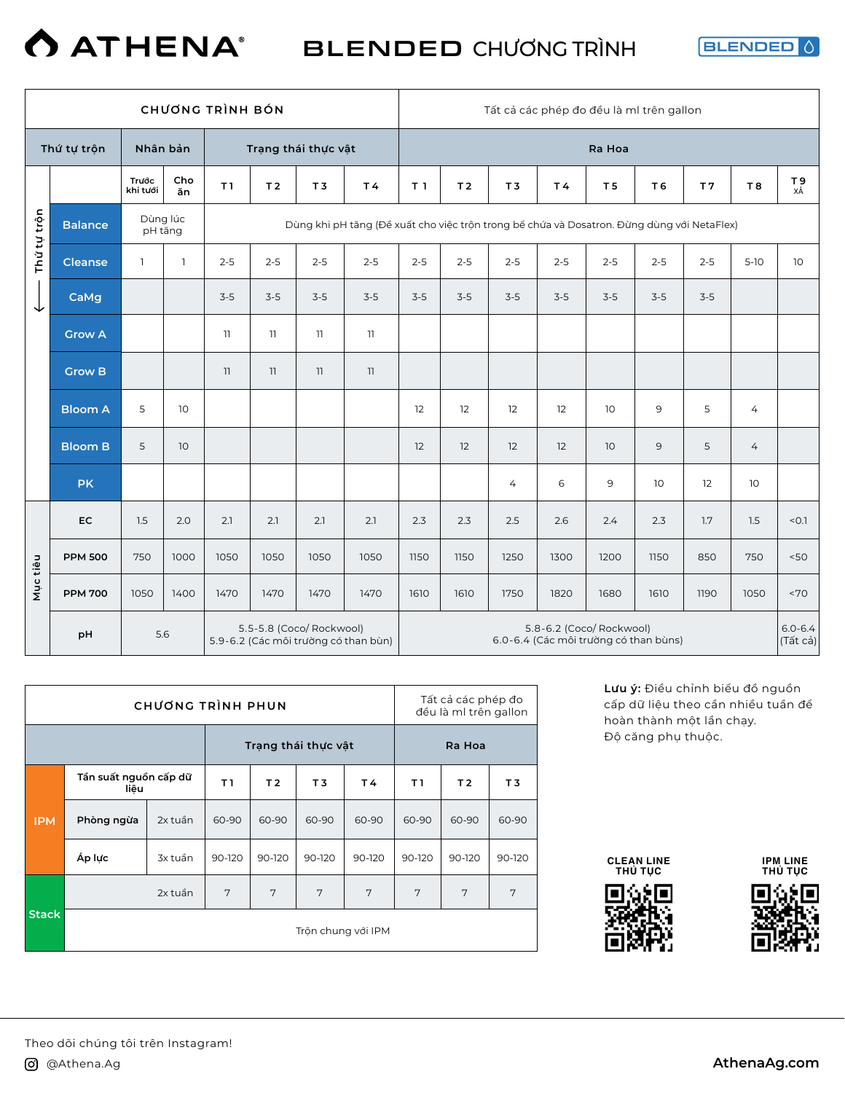### **O ATHENA®** BLENDED CHƯƠNG TRÌNH

**BLENDED** 

|             |                |                   |              | <b>CHƯƠNG TRÌNH BÓN</b> |                |                          |                                                                                            |                |                |                |         | Tất cả các phép đo đều là ml trên gallon                          |                |                |                |                         |
|-------------|----------------|-------------------|--------------|-------------------------|----------------|--------------------------|--------------------------------------------------------------------------------------------|----------------|----------------|----------------|---------|-------------------------------------------------------------------|----------------|----------------|----------------|-------------------------|
|             | Thứ tự trộn    | Nhân bản          |              |                         |                | Trạng thái thực vật      |                                                                                            |                |                |                |         | Ra Hoa                                                            |                |                |                |                         |
|             |                | Trước<br>khi tưới | Cho<br>ăn    | T1                      | T <sub>2</sub> | T <sub>3</sub>           | T4                                                                                         | T <sub>1</sub> | T <sub>2</sub> | T <sub>3</sub> | T4      | T <sub>5</sub>                                                    | T <sub>6</sub> | T <sub>7</sub> | <b>T8</b>      | T 9<br>xÅ               |
| Thứ tự trộn | <b>Balance</b> | pH tăng           | Dùng lúc     |                         |                |                          | Dùng khi pH tăng (Đề xuất cho việc trôn trong bề chứa và Dosatron. Đừng dùng với NetaFlex) |                |                |                |         |                                                                   |                |                |                |                         |
|             | <b>Cleanse</b> | $\mathbf{1}$      | $\mathbf{1}$ | $2 - 5$                 | $2 - 5$        | $2 - 5$                  | $2 - 5$                                                                                    | $2 - 5$        | $2 - 5$        | $2 - 5$        | $2 - 5$ | $2 - 5$                                                           | $2 - 5$        | $2 - 5$        | $5-10$         | 10                      |
| ↓           | CaMg           |                   |              | $3-5$                   | $3-5$          | $3-5$                    | $3-5$                                                                                      | $3-5$          | $3-5$          | $3-5$          | $3-5$   | $3-5$                                                             | $3-5$          | $3-5$          |                |                         |
|             | <b>Grow A</b>  |                   |              | $\overline{1}$          | 11             | $\overline{1}$           | 11                                                                                         |                |                |                |         |                                                                   |                |                |                |                         |
|             | <b>Grow B</b>  |                   |              | 11                      | 11             | $\overline{\phantom{a}}$ | 11                                                                                         |                |                |                |         |                                                                   |                |                |                |                         |
|             | <b>Bloom A</b> | 5                 | 10           |                         |                |                          |                                                                                            | 12             | 12             | 12             | 12      | 10                                                                | 9              | 5              | $\overline{4}$ |                         |
|             | <b>Bloom B</b> | 5                 | 10           |                         |                |                          |                                                                                            | 12             | 12             | 12             | 12      | 10                                                                | 9              | 5              | $\overline{4}$ |                         |
|             | <b>PK</b>      |                   |              |                         |                |                          |                                                                                            |                |                | $\overline{4}$ | 6       | 9                                                                 | 10             | 12             | 10             |                         |
|             | <b>EC</b>      | 1.5               | 2.0          | 2.1                     | 2.1            | 2.1                      | 2.1                                                                                        | 2.3            | 2.3            | 2.5            | 2.6     | 2.4                                                               | 2.3            | 1.7            | 1.5            | < 0.1                   |
|             | <b>PPM 500</b> | 750               | 1000         | 1050                    | 1050           | 1050                     | 1050                                                                                       | 1150           | 1150           | 1250           | 1300    | 1200                                                              | 1150           | 850            | 750            | 50<                     |
| Mục tiêu    | <b>PPM 700</b> | 1050              | 1400         | 1470                    | 1470           | 1470                     | 1470                                                                                       | 1610           | 1610           | 1750           | 1820    | 1680                                                              | 1610           | 1190           | 1050           | ~5                      |
|             | pH             | 5.6               |              |                         |                | 5.5-5.8 (Coco/ Rockwool) | 5.9-6.2 (Các môi trường có than bùn)                                                       |                |                |                |         | 5.8-6.2 (Coco/ Rockwool)<br>6.0-6.4 (Các môi trường có than bùns) |                |                |                | $6.0 - 6.4$<br>(Tất cả) |

|              |                               | CHƯƠNG TRÌNH PHUN |        |                |                     |        |        | Tất cả các phép đo<br>đều là ml trên gallon |        |
|--------------|-------------------------------|-------------------|--------|----------------|---------------------|--------|--------|---------------------------------------------|--------|
|              |                               |                   |        |                | Trang thái thực vật |        |        | Ra Hoa                                      |        |
|              | Tần suất nguồn cấp dữ<br>liêu |                   | T1     | T <sub>2</sub> | T3                  | T4     | T I    | T <sub>2</sub>                              | T3     |
| <b>IPM</b>   | Phòng ngừa                    | 2x tuần           | 60-90  | 60-90          | 60-90               | 60-90  | 60-90  | 60-90                                       | 60-90  |
|              | Áp lực                        | 3x tuần           | 90-120 | 90-120         | 90-120              | 90-120 | 90-120 | 90-120                                      | 90-120 |
|              |                               | 2x tuần           | 7      | 7              | 7                   | 7      | 7      | 7                                           | 7      |
| <b>Stack</b> |                               |                   |        |                | Trôn chung với IPM  |        |        |                                             |        |

**Lưu ý:** Điều chỉnh biểu đồ nguồn cấp dữ liệu theo cần nhiều tuần để hoàn thành một lần chạy. Độ căng phụ thuộc.







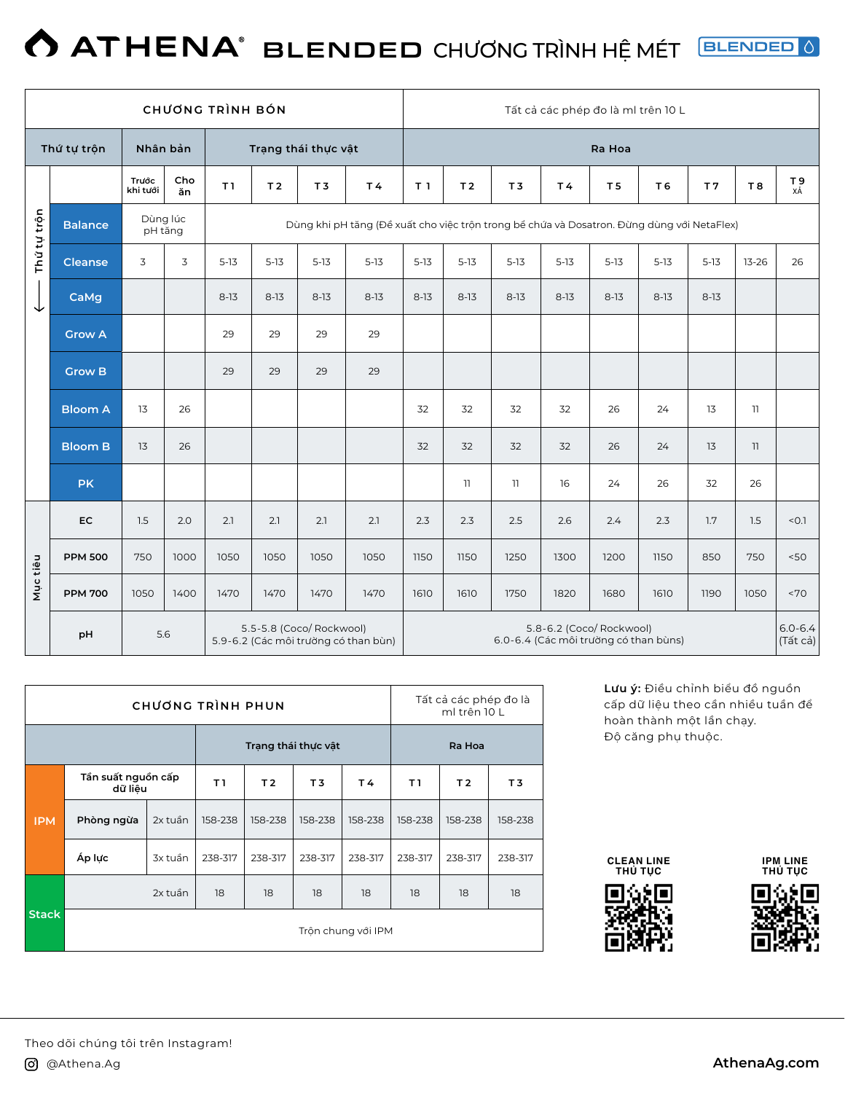### **ATHENA**<sup>®</sup> BLENDED CHƯƠNG TRÌNH HỆ MÉT **BLENDED** 0

|             |                                                                               |                   |           | <b>CHƯƠNG TRÌNH BÓN</b> |                |                     |                                                                                            |                |                 |                |                                                                   |                | Tất cả các phép đo là ml trên 10 L |                |           |                                |
|-------------|-------------------------------------------------------------------------------|-------------------|-----------|-------------------------|----------------|---------------------|--------------------------------------------------------------------------------------------|----------------|-----------------|----------------|-------------------------------------------------------------------|----------------|------------------------------------|----------------|-----------|--------------------------------|
|             | Thứ tự trộn                                                                   | Nhân bản          |           |                         |                | Trạng thái thực vật |                                                                                            |                |                 |                |                                                                   | Ra Hoa         |                                    |                |           |                                |
|             |                                                                               | Trước<br>khi tưới | Cho<br>ăn | T1                      | T <sub>2</sub> | T <sub>3</sub>      | <b>T4</b>                                                                                  | T <sub>1</sub> | T <sub>2</sub>  | T <sub>3</sub> | T4                                                                | T <sub>5</sub> | T <sub>6</sub>                     | T <sub>7</sub> | <b>T8</b> | $T_{\chi\dot{A}}^{\mathbf{9}}$ |
| Thứ tự trộn | <b>Balance</b>                                                                | pH tăng           | Dùng lúc  |                         |                |                     | Dùng khi pH tăng (Đề xuất cho việc trôn trong bề chứa và Dosatron. Đừng dùng với NetaFlex) |                |                 |                |                                                                   |                |                                    |                |           |                                |
|             | <b>Cleanse</b>                                                                | 3                 | 3         | $5 - 13$                | $5 - 13$       | $5-13$              | $5 - 13$                                                                                   | $5 - 13$       | $5 - 13$        | $5 - 13$       | $5 - 13$                                                          | $5 - 13$       | $5 - 13$                           | $5-13$         | $13 - 26$ | 26                             |
| ↓           | CaMg                                                                          |                   |           | $8-13$                  | $8-13$         | $8-13$              | $8 - 13$                                                                                   | $8 - 13$       | $8-13$          | $8 - 13$       | $8 - 13$                                                          | $8 - 13$       | $8-13$                             | $8 - 13$       |           |                                |
|             | <b>Grow A</b>                                                                 |                   |           | 29                      | 29             | 29                  | 29                                                                                         |                |                 |                |                                                                   |                |                                    |                |           |                                |
|             | <b>Grow B</b>                                                                 |                   |           | 29                      | 29             | 29                  | 29                                                                                         |                |                 |                |                                                                   |                |                                    |                |           |                                |
|             | <b>Bloom A</b>                                                                | 13                | 26        |                         |                |                     |                                                                                            | 32             | 32              | 32             | 32                                                                | 26             | 24                                 | 13             | 11        |                                |
|             | <b>Bloom B</b>                                                                | 13                | 26        |                         |                |                     |                                                                                            | 32             | 32              | 32             | 32                                                                | 26             | 24                                 | 13             | 11        |                                |
|             | <b>PK</b>                                                                     |                   |           |                         |                |                     |                                                                                            |                | $\overline{11}$ | 11             | 16                                                                | 24             | 26                                 | 32             | 26        |                                |
|             | <b>EC</b>                                                                     | 1.5               | 2.0       | 2.1                     | 2.1            | 2.1                 | 2.1                                                                                        | 2.3            | 2.3             | 2.5            | 2.6                                                               | 2.4            | 2.3                                | 1.7            | 1.5       | < 0.1                          |
|             | <b>PPM 500</b>                                                                | 750               | 1000      | 1050                    | 1050           | 1050                | 1050                                                                                       | 1150           | 1150            | 1250           | 1300                                                              | 1200           | 1150                               | 850            | 750       | 50<                            |
| Mục tiêu    | <b>PPM 700</b>                                                                | 1050              | 1400      | 1470                    | 1470           | 1470                | 1470                                                                                       | 1610           | 1610            | 1750           | 1820                                                              | 1680           | 1610                               | 1190           | 1050      | ~5                             |
|             | 5.5-5.8 (Coco/ Rockwool)<br>5.6<br>pH<br>5.9-6.2 (Các môi trường có than bùn) |                   |           |                         |                |                     |                                                                                            |                |                 |                | 5.8-6.2 (Coco/ Rockwool)<br>6.0-6.4 (Các môi trường có than bùns) |                |                                    |                |           | $6.0 - 6.4$<br>(Tất cả)        |

|              |                               | <b>CHUONG TRINH PHUN</b> |         |                |                     |                    |         | Tất cả các phép đo là<br>ml trên 10 L |         |
|--------------|-------------------------------|--------------------------|---------|----------------|---------------------|--------------------|---------|---------------------------------------|---------|
|              |                               |                          |         |                | Trạng thái thực vật |                    |         | Ra Hoa                                |         |
|              | Tần suất nguồn cấp<br>dữ liêu |                          | T1      | T <sub>2</sub> | T3                  | T4                 | T I     | T <sub>2</sub>                        | T3      |
| <b>IPM</b>   | Phòng ngừa                    | 2x tuần                  | 158-238 | 158-238        | 158-238             | 158-238            | 158-238 | 158-238                               | 158-238 |
|              | Áp lực                        | 3x tuần                  | 238-317 | 238-317        | 238-317             | 238-317            | 238-317 | 238-317                               | 238-317 |
|              |                               | 2x tuần                  | 18      | 18             | 18                  | 18                 | 18      | 18                                    | 18      |
| <b>Stack</b> |                               |                          |         |                |                     | Trôn chung với IPM |         |                                       |         |

**Lưu ý:** Điều chỉnh biểu đồ nguồn cấp dữ liệu theo cần nhiều tuần để hoàn thành một lần chạy. Độ căng phụ thuộc.

**CLEAN LINE THỦ TỤC**



**IPM LINE THỦ TỤC**

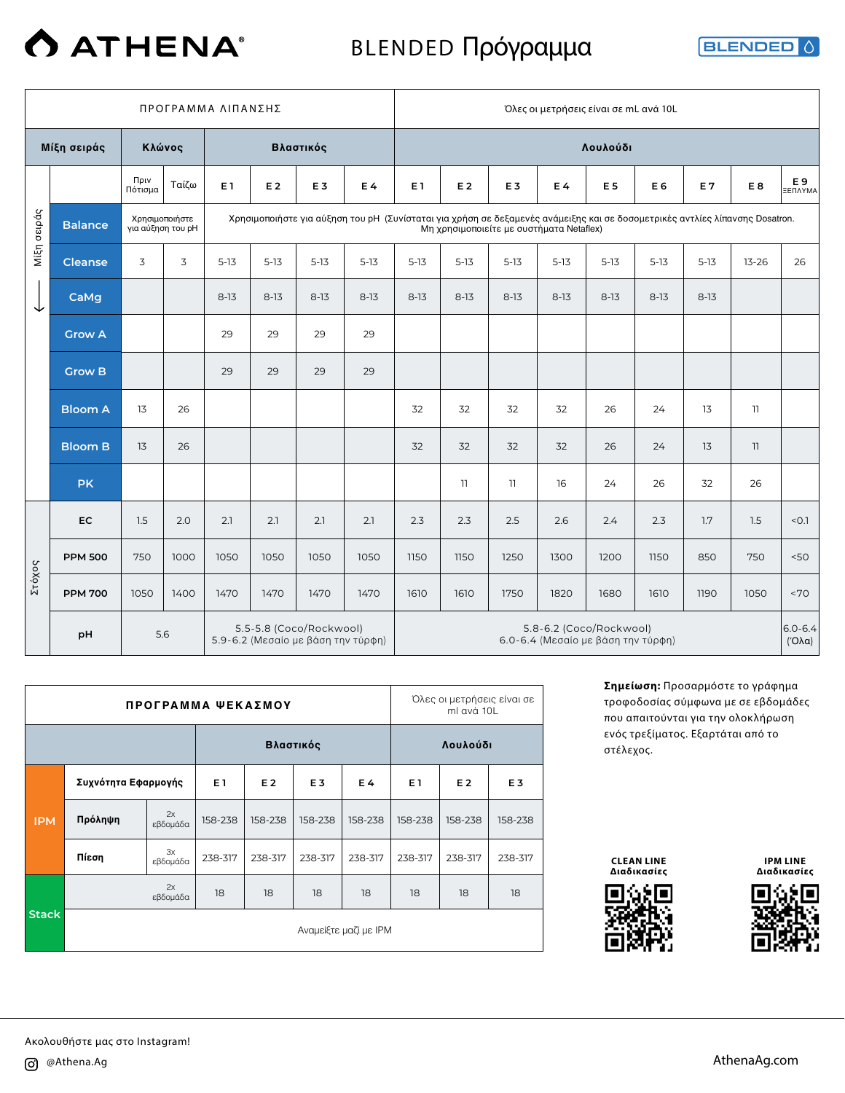# **O** ATHENA®

## BLENDED Πρόγραμμα

**BLENDED** 

|        | ΠΡΟΓΡΑΜΜΑ ΛΙΠΑΝΣΗΣ<br>Μίξη σειράς<br>Βλαστικός<br>Κλώνος<br>Πριν<br>Ταίζω<br>E 1<br>E <sub>2</sub><br>Πότισμα<br>Χρησιμοποιήστε για αύξηση του pH (Συνίσταται για χρήση σε δεξαμενές ανάμειξης και σε δοσομετρικές αντλίες λίπανσης Dosatron.<br>Χρησιμοποιήστε<br><b>Balance</b><br>για αύξηση του pH<br>3<br>3<br>$5-13$<br>$5 - 13$<br><b>Cleanse</b><br>CaMg<br>$8-13$<br>$8-13$ |      |      |      |      |                                                               |                |          |                |                | Όλες οι μετρήσεις είναι σε mL ανά 10L                         |                |          |          |                          |                       |
|--------|--------------------------------------------------------------------------------------------------------------------------------------------------------------------------------------------------------------------------------------------------------------------------------------------------------------------------------------------------------------------------------------|------|------|------|------|---------------------------------------------------------------|----------------|----------|----------------|----------------|---------------------------------------------------------------|----------------|----------|----------|--------------------------|-----------------------|
|        |                                                                                                                                                                                                                                                                                                                                                                                      |      |      |      |      |                                                               |                |          |                |                |                                                               | Λουλούδι       |          |          |                          |                       |
|        |                                                                                                                                                                                                                                                                                                                                                                                      |      |      |      |      | E <sub>3</sub>                                                | E <sub>4</sub> | E 1      | E <sub>2</sub> | E <sub>3</sub> | E4                                                            | E <sub>5</sub> | E 6      | E7       | E <sub>8</sub>           | E9<br>ΞΕΠΛΥΜΑ         |
| σειράς |                                                                                                                                                                                                                                                                                                                                                                                      |      |      |      |      |                                                               |                |          |                |                | Μη χρησιμοποιείτε με συστήματα Netaflex)                      |                |          |          |                          |                       |
| Μίξη   |                                                                                                                                                                                                                                                                                                                                                                                      |      |      |      |      | $5 - 13$                                                      | $5-13$         | $5 - 13$ | $5-13$         | $5 - 13$       | $5-13$                                                        | $5 - 13$       | $5 - 13$ | $5-13$   | $13 - 26$                | 26                    |
| ↓      |                                                                                                                                                                                                                                                                                                                                                                                      |      |      |      |      | $8 - 13$                                                      | $8-13$         | $8-13$   | $8-13$         | $8 - 13$       | $8 - 13$                                                      | $8-13$         | $8-13$   | $8 - 13$ |                          |                       |
|        | <b>Grow A</b>                                                                                                                                                                                                                                                                                                                                                                        |      |      | 29   | 29   | 29                                                            | 29             |          |                |                |                                                               |                |          |          |                          |                       |
|        | <b>Grow B</b>                                                                                                                                                                                                                                                                                                                                                                        |      |      | 29   | 29   | 29                                                            | 29             |          |                |                |                                                               |                |          |          |                          |                       |
|        | <b>Bloom A</b>                                                                                                                                                                                                                                                                                                                                                                       | 13   | 26   |      |      |                                                               |                | 32       | 32             | 32             | 32                                                            | 26             | 24       | 13       | 11                       |                       |
|        | <b>Bloom B</b>                                                                                                                                                                                                                                                                                                                                                                       | 13   | 26   |      |      |                                                               |                | 32       | 32             | 32             | 32                                                            | 26             | 24       | 13       | $\overline{\phantom{a}}$ |                       |
|        | <b>PK</b>                                                                                                                                                                                                                                                                                                                                                                            |      |      |      |      |                                                               |                |          | 11             | 11             | 16                                                            | 24             | 26       | 32       | 26                       |                       |
|        | EC                                                                                                                                                                                                                                                                                                                                                                                   | 1.5  | 2.0  | 2.1  | 2.1  | 2.1                                                           | 2.1            | 2.3      | 2.3            | 2.5            | 2.6                                                           | 2.4            | 2.3      | 1.7      | 1.5                      | < 0.1                 |
|        | <b>PPM 500</b>                                                                                                                                                                                                                                                                                                                                                                       | 750  | 1000 | 1050 | 1050 | 1050                                                          | 1050           | 1150     | 1150           | 1250           | 1300                                                          | 1200           | 1150     | 850      | 750                      | 50<                   |
| Στόχος | <b>PPM 700</b>                                                                                                                                                                                                                                                                                                                                                                       | 1050 | 1400 | 1470 | 1470 | 1470                                                          | 1470           | 1610     | 1610           | 1750           | 1820                                                          | 1680           | 1610     | 1190     | 1050                     | ~5                    |
|        | pH                                                                                                                                                                                                                                                                                                                                                                                   | 5.6  |      |      |      | 5.5-5.8 (Coco/Rockwool)<br>5.9-6.2 (Μεσαίο με βάση την τύρφη) |                |          |                |                | 5.8-6.2 (Coco/Rockwool)<br>6.0-6.4 (Μεσαίο με βάση την τύρφη) |                |          |          |                          | $6.0 - 6.4$<br>(′Oλα) |

|              |                     | ПРОГРАΜΜΑ ΨΕΚΑΣΜΟΥ |         |           |                |                       |                | Όλες οι μετρήσεις είναι σε<br>ml avá 10L |                |
|--------------|---------------------|--------------------|---------|-----------|----------------|-----------------------|----------------|------------------------------------------|----------------|
|              |                     |                    |         | Βλαστικός |                |                       |                | Λουλούδι                                 |                |
|              | Συχνότητα Εφαρμογής |                    | E1      | E 2       | E <sub>3</sub> | E 4                   | E <sub>1</sub> | E 2                                      | E <sub>3</sub> |
| <b>IPM</b>   | Πρόληψη             | 2x<br>εβδομάδα     | 158-238 | 158-238   | 158-238        | 158-238               | 158-238        | 158-238                                  | 158-238        |
|              | Πίεση               | 3x<br>εβδομάδα     | 238-317 | 238-317   | 238-317        | 238-317               | 238-317        | 238-317                                  | 238-317        |
|              |                     | 2x<br>εβδομάδα     | 18      | 18        | 18             | 18                    | 18             | 18                                       | 18             |
| <b>Stack</b> |                     |                    |         |           |                | Αναμείξτε μαζί με ΙΡΜ |                |                                          |                |

**Σημείωση:** Προσαρμόστε το γράφημα τροφοδοσίας σύμφωνα με σε εβδομάδες που απαιτούνται για την ολοκλήρωση ενός τρεξίματος. Εξαρτάται από το στέλεχος.

**CLEAN LINE Διαδικασίες**



**IPM LINE Διαδικασίες**

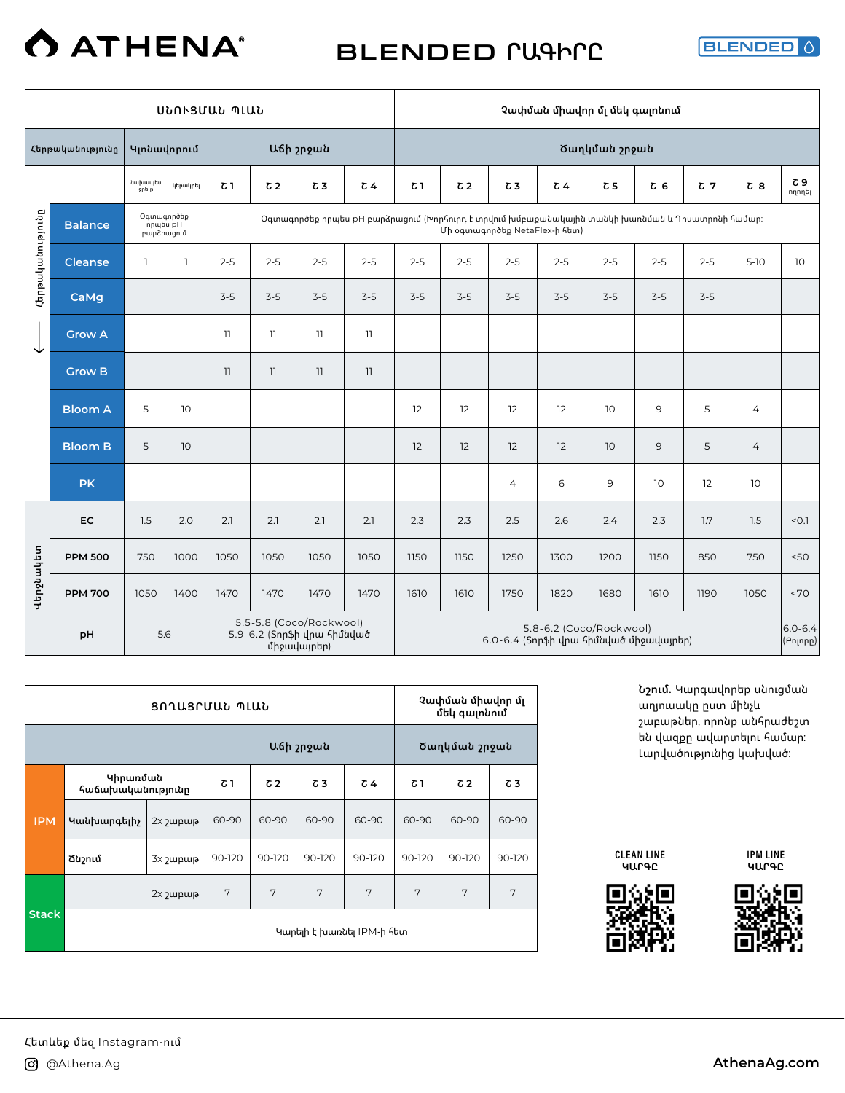## BLENDED **ՐԱԳԻՐԸ**

**BLENDED** 

|                  |                                                                                   |                                      |              | ՍՆՈՒՑՄԱՆ ՊԼԱՆ |                 |            |                                                                                                  |         |                |                               | Չափման միավոր մլ մեկ գալոնում                                     |                 |           |         |                |                         |
|------------------|-----------------------------------------------------------------------------------|--------------------------------------|--------------|---------------|-----------------|------------|--------------------------------------------------------------------------------------------------|---------|----------------|-------------------------------|-------------------------------------------------------------------|-----------------|-----------|---------|----------------|-------------------------|
|                  | Հերթականությունը                                                                  | Կյոնավորում                          |              |               |                 | Աճի շրջան  |                                                                                                  |         |                |                               |                                                                   | Ծաղկման շրջան   |           |         |                |                         |
|                  |                                                                                   | նախապես<br>ջրելը                     | կերակրել     | Շ 1           | C <sub>2</sub>  | $\sigma$ 3 | c <sub>4</sub>                                                                                   | Շ 1     | C <sub>2</sub> | $\sigma$ 3                    | $\sqrt{64}$                                                       | $\sigma$ 5      | <b>δ6</b> | $C$ 7   | <b>δ</b> 8     | Շ 9<br>ողողել           |
|                  | <b>Balance</b>                                                                    | Օգտագործեք<br>nnubu pH<br>բարձրացում |              |               |                 |            | Օգտագործեք որպես pH բարձրազում (Խորհուրդ է տրվում խմբաքանակային տանկի խառնման և Դոսատրոնի համար։ |         |                | Մի օգտագործեք NetaFlex-ի հետ) |                                                                   |                 |           |         |                |                         |
| Հերթականությունը | <b>Cleanse</b>                                                                    | $\mathbf{1}$                         | $\mathbf{1}$ | $2 - 5$       | $2 - 5$         | $2 - 5$    | $2 - 5$                                                                                          | $2 - 5$ | $2 - 5$        | $2 - 5$                       | $2 - 5$                                                           | $2 - 5$         | $2 - 5$   | $2 - 5$ | $5-10$         | 10                      |
|                  | CaMg                                                                              |                                      |              | $3-5$         | $3-5$           | $3-5$      | $3-5$                                                                                            | $3-5$   | $3-5$          | $3-5$                         | $3-5$                                                             | $3-5$           | $3-5$     | $3-5$   |                |                         |
| ↓                | <b>Grow A</b>                                                                     |                                      |              | 11            | $\overline{11}$ | 11         | 11                                                                                               |         |                |                               |                                                                   |                 |           |         |                |                         |
|                  | <b>Grow B</b>                                                                     |                                      |              | 11            | $\overline{11}$ | 11         | $\overline{\phantom{a}}$                                                                         |         |                |                               |                                                                   |                 |           |         |                |                         |
|                  | <b>Bloom A</b>                                                                    | 5                                    | 10           |               |                 |            |                                                                                                  | 12      | 12             | 12                            | 12                                                                | 10              | 9         | 5       | 4              |                         |
|                  | <b>Bloom B</b>                                                                    | 5<br>10                              |              |               |                 |            |                                                                                                  | 12      | 12             | 12                            | 12                                                                | 10 <sup>°</sup> | 9         | 5       | $\overline{4}$ |                         |
|                  | <b>PK</b>                                                                         |                                      |              |               |                 |            |                                                                                                  |         |                | 4                             | 6                                                                 | 9               | 10        | 12      | 10             |                         |
|                  | EC                                                                                | 1.5                                  | 2.0          | 2.1           | 2.1             | 2.1        | 2.1                                                                                              | 2.3     | 2.3            | 2.5                           | 2.6                                                               | 2.4             | 2.3       | 1.7     | 1.5            | < 0.1                   |
|                  | <b>PPM 500</b>                                                                    | 750                                  | 1000         | 1050          | 1050            | 1050       | 1050                                                                                             | 1150    | 1150           | 1250                          | 1300                                                              | 1200            | 1150      | 850     | 750            | 50<                     |
| Վերջնակետ        | <b>PPM 700</b>                                                                    | 1050                                 | 1400         | 1470          | 1470            | 1470       | 1470                                                                                             | 1610    | 1610           | 1750                          | 1820                                                              | 1680            | 1610      | 1190    | 1050           | <70                     |
|                  | 5.5-5.8 (Coco/Rockwool)<br>5.9-6.2 (Տորֆի վրա հիմնված<br>5.6<br>pH<br>միջավայրեր) |                                      |              |               |                 |            |                                                                                                  |         |                |                               | 5.8-6.2 (Coco/Rockwool)<br>6.0-6.4 (Տորֆի վրա հիմնված միջավայրեր) |                 |           |         |                | $6.0 - 6.4$<br>(Բոլորը) |

|              |                               | ՑՈՂԱՑՐՄԱՆ ՊԼԱՆ       |        |            |           |                           |        | Չափման միավոր մլ<br>մեկ գայոնում |        |
|--------------|-------------------------------|----------------------|--------|------------|-----------|---------------------------|--------|----------------------------------|--------|
|              |                               |                      |        |            | Աճի շրջան |                           |        | Ծաղկման շրջան                    |        |
|              | Կիրառման<br>հաճախականությունը |                      | Շ1     | $\sqrt{2}$ | Շ3        | $\sqrt{6}$                | 7 ک    | $\sqrt{2}$                       | Շ3     |
| <b>IPM</b>   | Կանխարգելիչ                   | 2x <sub>2</sub> upup | 60-90  | 60-90      | 60-90     | 60-90                     | 60-90  | 60-90                            | 60-90  |
|              | Ճնշում                        | 3x <sub>2</sub> upup | 90-120 | 90-120     | 90-120    | 90-120                    | 90-120 | 90-120                           | 90-120 |
|              |                               | 2x <sub>2</sub> upup | 7      | 7          | 7         | 7                         | 7      | 7                                | 7      |
| <b>Stack</b> |                               |                      |        |            |           | Կարելի է խառնել IPM-ի հետ |        |                                  |        |



CLEAN LINE



IPM LINE **ԿԱՐԳԸ**

շաբաթներ, որոնք անհրաժեշտ

**Նշում.** Կարգավորեք սնուցման աղյուսակը ըստ մինչև են վազքը ավարտելու համար: Լարվածությունից կախված: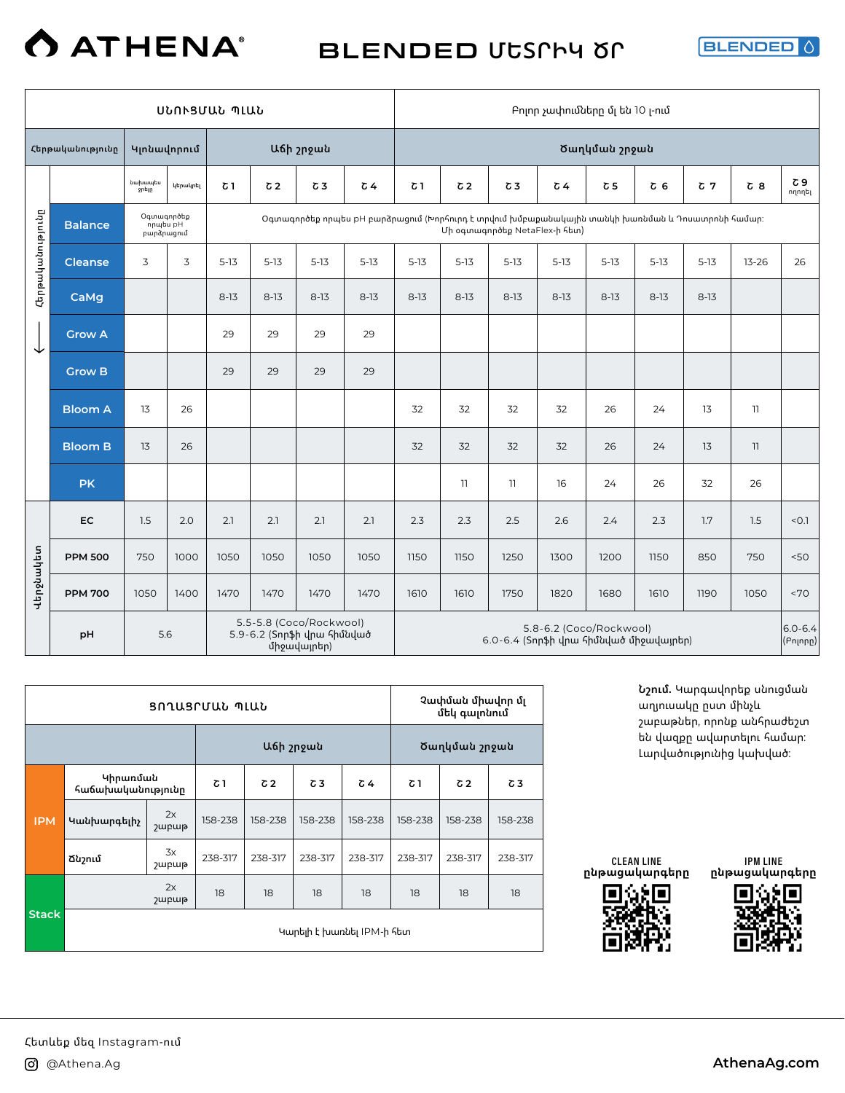BLENDED **ՄԵՏՐԻԿ ԾՐ**

BLENDED

|                  |                  |                                       |          | ՍՆՈՒՑՄԱՆ ՊԼԱՆ |                |                                                                      |                                                                                                  |          |                |                                        |          | Բոլոր չափումները մլ են 10 լ-ում |                |                |            |                         |
|------------------|------------------|---------------------------------------|----------|---------------|----------------|----------------------------------------------------------------------|--------------------------------------------------------------------------------------------------|----------|----------------|----------------------------------------|----------|---------------------------------|----------------|----------------|------------|-------------------------|
|                  | Հերթականությունը | Կլոնավորում                           |          |               |                | Աճի շրջան                                                            |                                                                                                  |          |                |                                        |          | Ծաղկման շրջան                   |                |                |            |                         |
|                  |                  | նախապես<br>ջրելը                      | կերակրել | Շ 1           | C <sub>2</sub> | C <sub>3</sub>                                                       | $\sqrt{64}$                                                                                      | 7٦       | C <sub>2</sub> | $\sigma$ 3                             | Շ 4      | Շ 5                             | C <sub>6</sub> | C <sub>7</sub> | $\sigma$ 8 | Շ 9<br>ողողել           |
|                  | <b>Balance</b>   | Օգտագործեք<br>npultu pH<br>բարձրացում |          |               |                |                                                                      | Օգտագործեք որպես pH բարձրացում (Խորհուրդ է տրվում խմբաքանակային տանկի խառնման և Դոսատրոնի համար։ |          |                | Մի օգտագործեք NetaFlex-ի հետ)          |          |                                 |                |                |            |                         |
| Հերթականությունը | <b>Cleanse</b>   | 3                                     | 3        | $5 - 13$      | $5 - 13$       | $5 - 13$                                                             | $5 - 13$                                                                                         | $5-13$   | $5 - 13$       | $5-13$                                 | $5 - 13$ | $5-13$                          | $5 - 13$       | $5-13$         | $13 - 26$  | 26                      |
|                  | CaMg             |                                       |          | $8-13$        | $8-13$         | $8 - 13$                                                             | $8-13$                                                                                           | $8 - 13$ | $8-13$         | $8 - 13$                               | $8-13$   | $8-13$                          | $8-13$         | $8 - 13$       |            |                         |
| ↓                | <b>Grow A</b>    |                                       |          | 29            | 29             | 29                                                                   | 29                                                                                               |          |                |                                        |          |                                 |                |                |            |                         |
|                  | <b>Grow B</b>    |                                       |          | 29            | 29             | 29                                                                   | 29                                                                                               |          |                |                                        |          |                                 |                |                |            |                         |
|                  | <b>Bloom A</b>   | 13                                    | 26       |               |                |                                                                      |                                                                                                  | 32       | 32             | 32                                     | 32       | 26                              | 24             | 13             | 11         |                         |
|                  | <b>Bloom B</b>   | 13                                    | 26       |               |                |                                                                      |                                                                                                  | 32       | 32             | 32                                     | 32       | 26                              | 24             | 13             | 11         |                         |
|                  | <b>PK</b>        |                                       |          |               |                |                                                                      |                                                                                                  |          | 11             | 11                                     | 16       | 24                              | 26             | 32             | 26         |                         |
|                  | EC               | 1.5                                   | 2.0      | 2.1           | 2.1            | 2.1                                                                  | 2.1                                                                                              | 2.3      | 2.3            | 2.5                                    | 2.6      | 2.4                             | 2.3            | 1.7            | 1.5        | < 0.1                   |
|                  | <b>PPM 500</b>   | 750                                   | 1000     | 1050          | 1050           | 1050                                                                 | 1050                                                                                             | 1150     | 1150           | 1250                                   | 1300     | 1200                            | 1150           | 850            | 750        | 50<                     |
| Վերջնակետ        | <b>PPM 700</b>   | 1050                                  | 1400     | 1470          | 1470           | 1470                                                                 | 1470                                                                                             | 1610     | 1610           | 1750                                   | 1820     | 1680                            | 1610           | 1190           | 1050       | <70                     |
|                  | pH               | 5.6                                   |          |               |                | 5.5-5.8 (Coco/Rockwool)<br>5.9-6.2 (Տորֆի վրա հիմնված<br>միջավայրեր) |                                                                                                  |          |                | 6.0-6.4 (Տորֆի վրա հիմնված միջավայրեր) |          | 5.8-6.2 (Coco/Rockwool)         |                |                |            | $6.0 - 6.4$<br>(Բոլորը) |

|              |                               |                                  | ՑՈՂԱՑՐՄԱՆ ՊԼԱՆ |            |           |                           |         | Չափման միավոր մլ<br>մեկ գալոնում |         |
|--------------|-------------------------------|----------------------------------|----------------|------------|-----------|---------------------------|---------|----------------------------------|---------|
|              |                               |                                  |                |            | Աճի շրջան |                           |         | Ծաղկման շրջան                    |         |
|              | Կիրառման<br>հաճախականությունը |                                  | <b>δ1</b>      | $\sqrt{2}$ | Շ3        | Շ 4                       | Շ1      | $\sqrt{2}$                       | Շ3      |
| <b>IPM</b>   | Կանխարգելիչ                   | 2x<br><b><i><u>Jupup</u></i></b> | 158-238        | 158-238    | 158-238   | 158-238                   | 158-238 | 158-238                          | 158-238 |
|              | Ճնշում                        | 3x<br><b>J</b> upup              | 238-317        | 238-317    | 238-317   | 238-317                   | 238-317 | 238-317                          | 238-317 |
|              |                               | 2x<br>շաբաթ                      | 18             | 18         | 18        | 18                        | 18      | 18                               | 18      |
| <b>Stack</b> |                               |                                  |                |            |           | Կարելի է խառնել IPM-ի հետ |         |                                  |         |





IPM LINE **ընթացակարգերը**

**Նշում.** Կարգավորեք սնուցման աղյուսակը ըստ մինչև շաբաթներ, որոնք անհրաժեշտ են վազքը ավարտելու համար: Լարվածությունից կախված: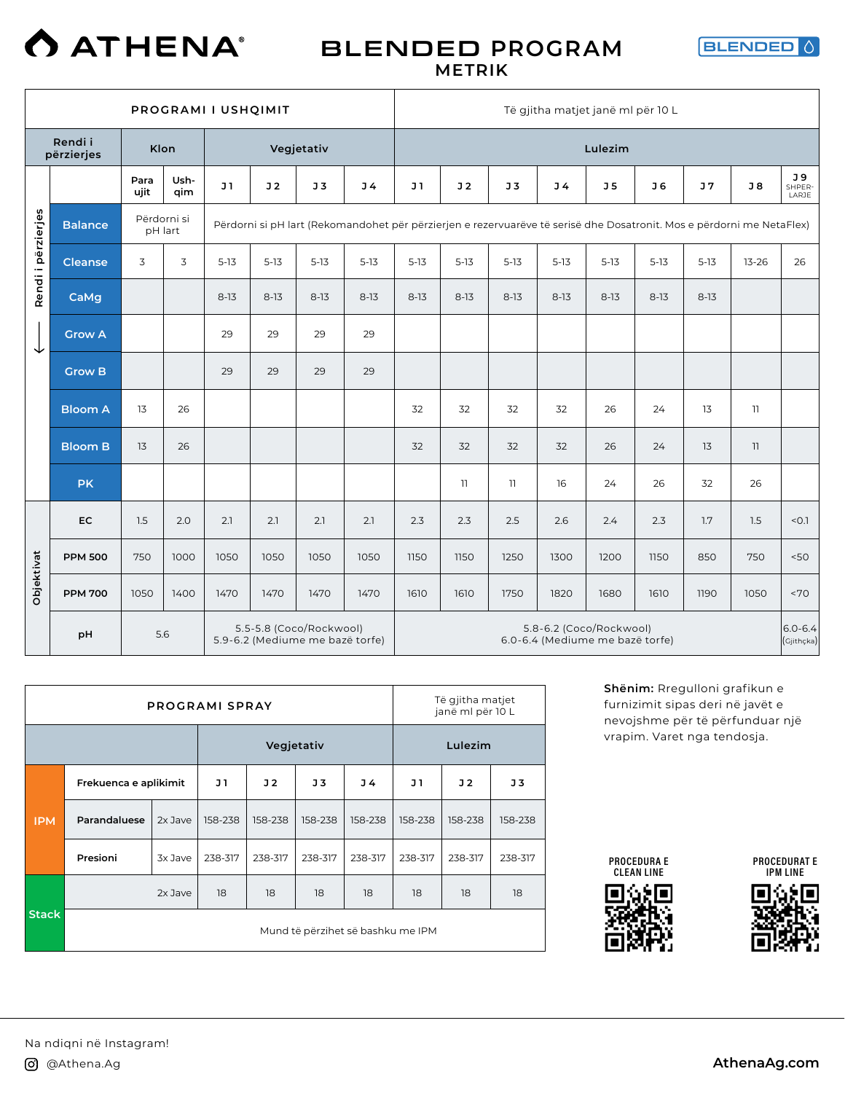

### BLENDED **PROGRAM METRIK**



|                    | PROGRAMI I USHQIMIT<br>Rendi i<br>Klon<br>Vegjetativ<br>përzierjes<br>Ush-<br>Para<br>J1<br>J <sub>2</sub><br>ujit<br>qim<br>Përdorni si<br><b>Balance</b><br>Përdorni si pH lart (Rekomandohet për përzierjen e rezervuarëve të serisë dhe Dosatronit. Mos e përdorni me NetaFlex)<br>pH lart<br>3<br>3<br>$5 - 13$<br>$5 - 13$<br><b>Cleanse</b> |      |      |        |          |                |                |          |                | Të gjitha matjet janë ml për 10 L |                                                            |                |                |                |                         |                           |
|--------------------|----------------------------------------------------------------------------------------------------------------------------------------------------------------------------------------------------------------------------------------------------------------------------------------------------------------------------------------------------|------|------|--------|----------|----------------|----------------|----------|----------------|-----------------------------------|------------------------------------------------------------|----------------|----------------|----------------|-------------------------|---------------------------|
|                    |                                                                                                                                                                                                                                                                                                                                                    |      |      |        |          |                |                |          |                |                                   |                                                            | Lulezim        |                |                |                         |                           |
|                    |                                                                                                                                                                                                                                                                                                                                                    |      |      |        |          | J <sub>3</sub> | J <sub>4</sub> | J1       | J <sub>2</sub> | J <sub>3</sub>                    | J <sub>4</sub>                                             | J <sub>5</sub> | J <sub>6</sub> | J <sub>7</sub> | J8                      | J 9<br>SHPER-<br>LARJE    |
| Rendi i përzierjes |                                                                                                                                                                                                                                                                                                                                                    |      |      |        |          |                |                |          |                |                                   |                                                            |                |                |                |                         |                           |
|                    |                                                                                                                                                                                                                                                                                                                                                    |      |      |        |          | $5 - 13$       | $5 - 13$       | $5 - 13$ | $5-13$         | $5 - 13$                          | $5 - 13$                                                   | $5 - 13$       | $5-13$         | $5 - 13$       | $13 - 26$               | 26                        |
|                    | CaMg                                                                                                                                                                                                                                                                                                                                               |      |      | $8-13$ | $8 - 13$ | $8 - 13$       | $8-13$         | $8 - 13$ | $8 - 13$       | $8-13$                            | $8-13$                                                     | $8 - 13$       | $8 - 13$       | $8-13$         |                         |                           |
| ↓                  | <b>Grow A</b>                                                                                                                                                                                                                                                                                                                                      |      |      | 29     | 29       | 29             | 29             |          |                |                                   |                                                            |                |                |                |                         |                           |
|                    | <b>Grow B</b>                                                                                                                                                                                                                                                                                                                                      |      |      | 29     | 29       | 29             | 29             |          |                |                                   |                                                            |                |                |                |                         |                           |
|                    | <b>Bloom A</b>                                                                                                                                                                                                                                                                                                                                     | 13   | 26   |        |          |                |                | 32       | 32             | 32                                | 32                                                         | 26             | 24             | 13             | $\overline{\mathbf{1}}$ |                           |
|                    | <b>Bloom B</b>                                                                                                                                                                                                                                                                                                                                     | 13   | 26   |        |          |                |                | 32       | 32             | 32                                | 32                                                         | 26             | 24             | 13             | 11                      |                           |
|                    | <b>PK</b>                                                                                                                                                                                                                                                                                                                                          |      |      |        |          |                |                |          | 11             | $\overline{\mathbf{1}}$           | 16                                                         | 24             | 26             | 32             | 26                      |                           |
|                    | EC                                                                                                                                                                                                                                                                                                                                                 | 1.5  | 2.0  | 2.1    | 2.1      | 2.1            | 2.1            | 2.3      | 2.3            | 2.5                               | 2.6                                                        | 2.4            | 2.3            | 1.7            | 1.5                     | < 0.1                     |
|                    | <b>PPM 500</b>                                                                                                                                                                                                                                                                                                                                     | 750  | 1000 | 1050   | 1050     | 1050           | 1050           | 1150     | 1150           | 1250                              | 1300                                                       | 1200           | 1150           | 850            | 750                     | 50<                       |
| Objektivat         | <b>PPM 700</b>                                                                                                                                                                                                                                                                                                                                     | 1050 | 1400 | 1470   | 1470     | 1470           | 1470           | 1610     | 1610           | 1750                              | 1820                                                       | 1680           | 1610           | 1190           | 1050                    | <70                       |
|                    | 5.5-5.8 (Coco/Rockwool)<br>5.6<br>pH<br>5.9-6.2 (Mediume me bazë torfe)                                                                                                                                                                                                                                                                            |      |      |        |          |                |                |          |                |                                   | 5.8-6.2 (Coco/Rockwool)<br>6.0-6.4 (Mediume me bazë torfe) |                |                |                |                         | $6.0 - 6.4$<br>(Gjithçka) |

|              |                       |           | <b>PROGRAMI SPRAY</b> |            |         |                                   |         | Të gjitha matjet<br>janë ml për 10 L |                |
|--------------|-----------------------|-----------|-----------------------|------------|---------|-----------------------------------|---------|--------------------------------------|----------------|
|              |                       |           |                       | Vegjetativ |         |                                   |         | Lulezim                              |                |
|              | Frekuenca e aplikimit |           | J 1                   | J2         | J3      | J 4                               | J 1     | J <sub>2</sub>                       | J <sub>3</sub> |
| <b>IPM</b>   | Parandaluese          | 2x Jave   | 158-238               | 158-238    | 158-238 | 158-238                           | 158-238 | 158-238                              | 158-238        |
|              | Presioni              | 3x Jave   | 238-317               | 238-317    | 238-317 | 238-317                           | 238-317 | 238-317                              | 238-317        |
|              |                       | $2x$ Jave | 18                    | 18         | 18      | 18                                | 18      | 18                                   | 18             |
| <b>Stack</b> |                       |           |                       |            |         | Mund të përzihet së bashku me IPM |         |                                      |                |

**Shënim:** Rregulloni grafikun e furnizimit sipas deri në javët e nevojshme për të përfunduar një vrapim. Varet nga tendosja.

PROCEDURA E CLEAN LINE



PROCEDURAT E IPM LINE

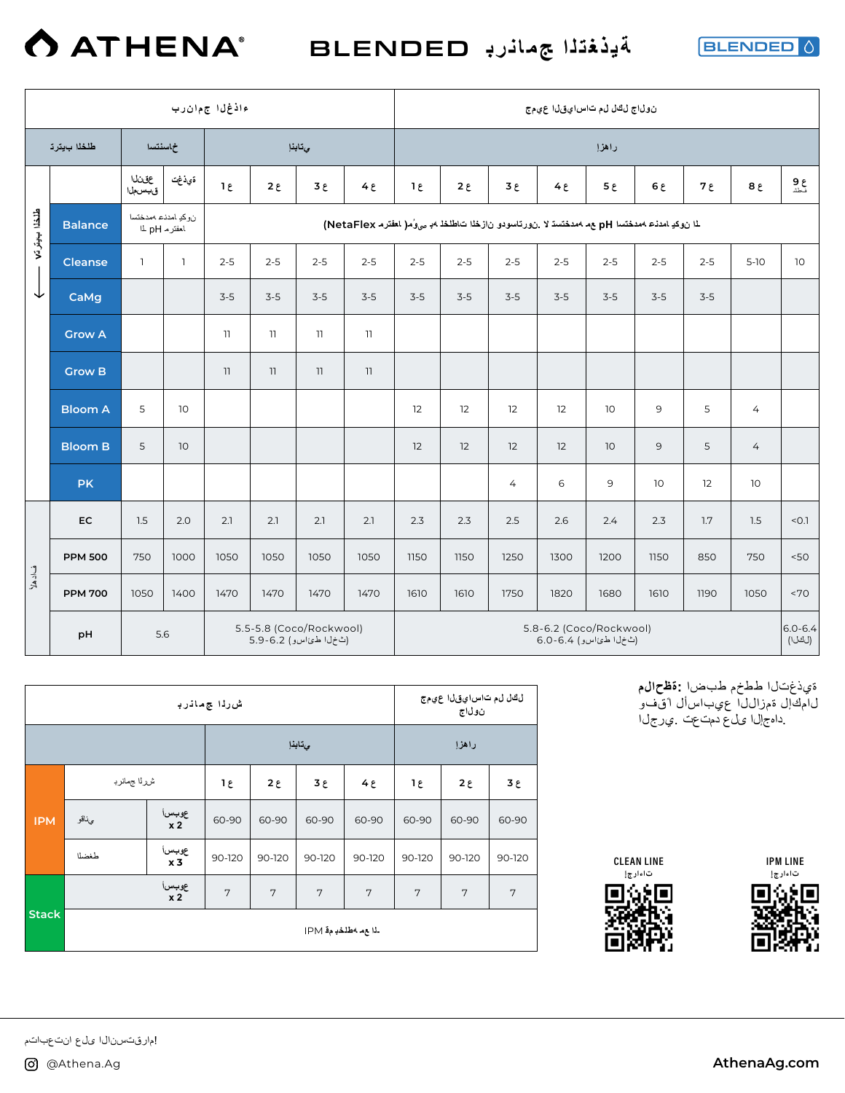

**ةیذغتلا جمانرب** BLENDED

**BLENDED** 0

|                 | ءاذغل اجمءان رب<br>طلخلا بيترد<br>خماسنتسدا<br>يتابذإ<br>المانى<br>ةيذغت<br>$1\varepsilon$<br>$2 \epsilon$<br>ع 3<br>قبسملا<br>نوكد امدنء ممدختسا<br><b>Balance</b><br>لمغترم L pH<br>$2 - 5$<br>$2 - 5$<br><b>Cleanse</b><br>$\mathbf{1}$<br>$\mathbf{1}$<br>$2 - 5$<br>$3 - 5$<br>$3-5$<br>CaMg<br>$3-5$ |      |      |      |      |                                                  | نول!ج لڭل لم تاس!يقل! عهمج                                                                          |             |              |                |                                                 |                 |         |         |                 |                       |
|-----------------|------------------------------------------------------------------------------------------------------------------------------------------------------------------------------------------------------------------------------------------------------------------------------------------------------------|------|------|------|------|--------------------------------------------------|-----------------------------------------------------------------------------------------------------|-------------|--------------|----------------|-------------------------------------------------|-----------------|---------|---------|-----------------|-----------------------|
|                 |                                                                                                                                                                                                                                                                                                            |      |      |      |      |                                                  |                                                                                                     |             |              |                |                                                 | راهزإ           |         |         |                 |                       |
|                 |                                                                                                                                                                                                                                                                                                            |      |      |      |      |                                                  | $4\epsilon$                                                                                         | $1\epsilon$ | $2 \epsilon$ | ع 3            | 4e                                              | $5\epsilon$     | 6 ي     | ع 7     | 8E              | ع 9<br>نطشا           |
| طلقطا ب پیتر تم |                                                                                                                                                                                                                                                                                                            |      |      |      |      |                                                  | لما ن وكيا مدنى عمدختسا pH ع م محدختسة لا .ن ورتاسودو ن ازخلا ت اطلخله به مى وُم( المخترم NetaFlex) |             |              |                |                                                 |                 |         |         |                 |                       |
|                 |                                                                                                                                                                                                                                                                                                            |      |      |      |      |                                                  | $2 - 5$                                                                                             | $2 - 5$     | $2 - 5$      | $2 - 5$        | $2 - 5$                                         | $2 - 5$         | $2 - 5$ | $2 - 5$ | $5-10$          | 10                    |
| ↓               |                                                                                                                                                                                                                                                                                                            |      |      |      |      |                                                  | $3-5$                                                                                               | $3 - 5$     | $3 - 5$      | $3-5$          | $3 - 5$                                         | $3 - 5$         | $3-5$   | $3-5$   |                 |                       |
|                 | <b>Grow A</b>                                                                                                                                                                                                                                                                                              |      |      | 11   | 11   | 11                                               | 11                                                                                                  |             |              |                |                                                 |                 |         |         |                 |                       |
|                 | <b>Grow B</b>                                                                                                                                                                                                                                                                                              |      |      | 11   | 11   | $\overline{\phantom{a}}$                         | 11                                                                                                  |             |              |                |                                                 |                 |         |         |                 |                       |
|                 | <b>Bloom A</b>                                                                                                                                                                                                                                                                                             | 5    | 10   |      |      |                                                  |                                                                                                     | 12          | 12           | 12             | 12                                              | 10              | 9       | 5       | $\overline{4}$  |                       |
|                 | <b>Bloom B</b>                                                                                                                                                                                                                                                                                             | 5    | 10   |      |      |                                                  |                                                                                                     | 12          | 12           | 12             | 12                                              | 10 <sup>°</sup> | 9       | 5       | $\overline{4}$  |                       |
|                 | <b>PK</b>                                                                                                                                                                                                                                                                                                  |      |      |      |      |                                                  |                                                                                                     |             |              | $\overline{4}$ | 6                                               | 9               | 10      | 12      | 10 <sup>°</sup> |                       |
|                 | EC                                                                                                                                                                                                                                                                                                         | 1.5  | 2.0  | 2.1  | 2.1  | 2.1                                              | 2.1                                                                                                 | 2.3         | 2.3          | 2.5            | 2.6                                             | 2.4             | 2.3     | 1.7     | 1.5             | < 0.1                 |
|                 | <b>PPM 500</b>                                                                                                                                                                                                                                                                                             | 750  | 1000 | 1050 | 1050 | 1050                                             | 1050                                                                                                | 1150        | 1150         | 1250           | 1300                                            | 1200            | 1150    | 850     | 750             | 50<                   |
| فادهلا          | <b>PPM 700</b>                                                                                                                                                                                                                                                                                             | 1050 | 1400 | 1470 | 1470 | 1470                                             | 1470                                                                                                | 1610        | 1610         | 1750           | 1820                                            | 1680            | 1610    | 1190    | 1050            | <70                   |
|                 | pH                                                                                                                                                                                                                                                                                                         | 5.6  |      |      |      | 5.5-5.8 (Coco/Rockwool)<br>(ٹخل اطئ اسو) 6.2-5.9 |                                                                                                     |             |              |                | 5.8-6.2 (Coco/Rockwool)<br>(ٹخلا طئاسو) 6.4-6.0 |                 |         |         |                 | $6.0 - 6.4$<br>(لكلا) |

|              |              |                          | ش رڌا ج مانرڊ  |             |             |             |        | لڭل لم تاس!يقل! عيمج<br>نول\ج |             |
|--------------|--------------|--------------------------|----------------|-------------|-------------|-------------|--------|-------------------------------|-------------|
|              |              |                          |                |             | ىتابذإ      |             |        | راهزإ                         |             |
|              | شرراا جمانرب |                          | ع 1            | $2\epsilon$ | $3\epsilon$ | $4\epsilon$ | 1٤     | $2\epsilon$                   | $3\epsilon$ |
| <b>IPM</b>   | ىئاقو        | عوبسرا<br>x <sub>2</sub> | 60-90          | 60-90       | 60-90       | 60-90       | 60-90  | 60-90                         | 60-90       |
|              | طغضلا        | عوبسرا<br>x <sub>3</sub> | 90-120         | 90-120      | 90-120      | 90-120      | 90-120 | 90-120                        | 90-120      |
|              |              | عوبسرا<br>x <sub>2</sub> | $\overline{7}$ | 7           | 7           | 7           | 7      | 7                             | 7           |
| <b>Stack</b> |              |                          |                |             |             |             |        |                               |             |

 ةيذغتلا ططخم طبضا **:ةظحالم** لامكإل ةمزاللا عيباسأل ا ًقفو .داهجإلا ىلع دمتعت .يرجلا







!مارقتسنال اىلع انتعباتم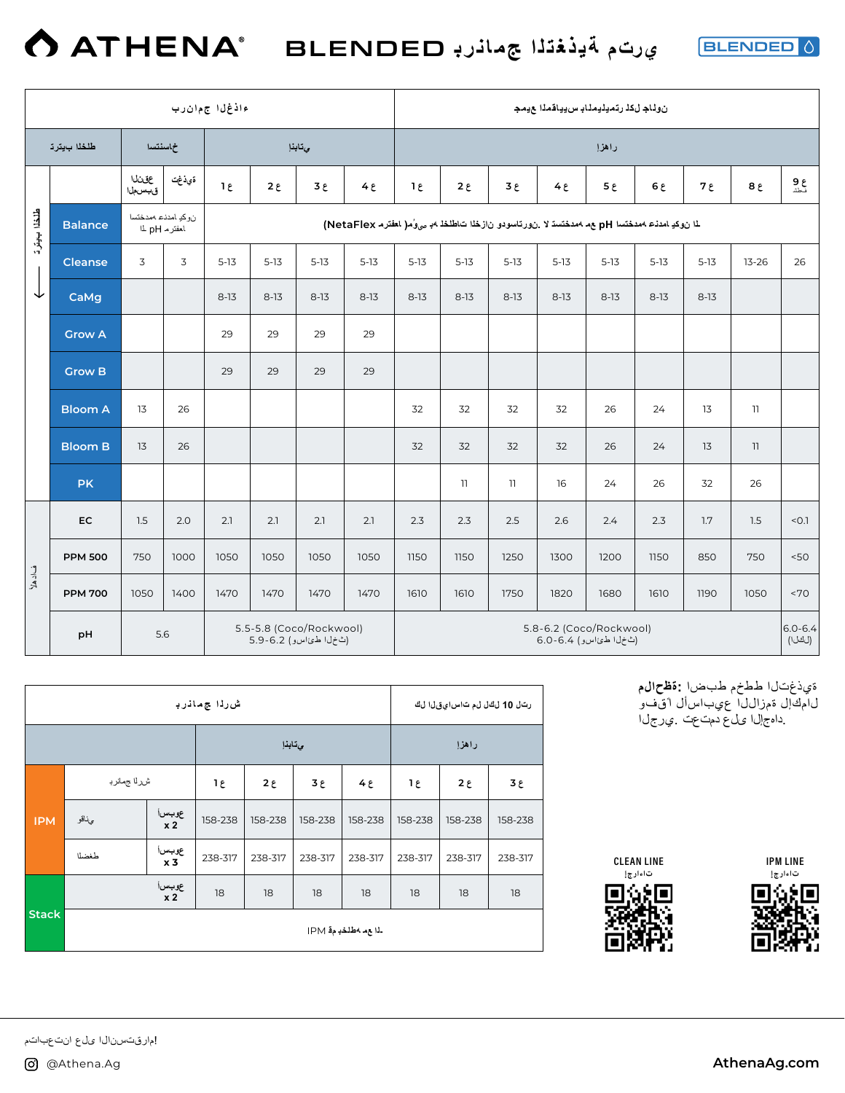**BLENDED** 0

|              |                |                                   |       | ءاذغلl جمءان رب |             |                                                     |                                                                                                       |                |                          |                         | نولناج لكذ رتميليملنب سييناقمذا عيمج             |             |          |          |           |                       |
|--------------|----------------|-----------------------------------|-------|-----------------|-------------|-----------------------------------------------------|-------------------------------------------------------------------------------------------------------|----------------|--------------------------|-------------------------|--------------------------------------------------|-------------|----------|----------|-----------|-----------------------|
|              | طلخلا بيترت    | خاسنتسا                           |       |                 |             | يتابذإ                                              |                                                                                                       |                |                          |                         |                                                  | راهزإ       |          |          |           |                       |
|              |                | عقينا<br>قبسملا                   | ةيذغت | $1\epsilon$     | $2\epsilon$ | 3E                                                  | 4e                                                                                                    | $1\varepsilon$ | $2 \epsilon$             | 3E                      | 4E                                               | $5\epsilon$ | 6 ي      | ع 7      | $8\xi$    | ع 9<br>نطشا           |
| طلخلا ب يقرة | <b>Balance</b> | نوكد امدنء ممدختسا<br>لمغترم L pH |       |                 |             |                                                     | لما ن وكيا مدنى معدفتسا pH بعد 4 مدفتسة لا .ن ورتاسودو ن از فلما ت اطلخا 4. صولُ ما المخترم NetaFlex) |                |                          |                         |                                                  |             |          |          |           |                       |
|              | <b>Cleanse</b> | 3                                 | 3     | $5 - 13$        | $5-13$      | $5-13$                                              | $5-13$                                                                                                | $5-13$         | $5-13$                   | $5 - 13$                | $5-13$                                           | $5-13$      | $5 - 13$ | $5 - 13$ | $13 - 26$ | 26                    |
| ↓            | CaMg           |                                   |       | $8 - 13$        | $8-13$      | $8-13$                                              | $8-13$                                                                                                | $8 - 13$       | $8-13$                   | $8-13$                  | $8-13$                                           | $8-13$      | $8-13$   | $8 - 13$ |           |                       |
|              | <b>Grow A</b>  |                                   |       | 29              | 29          | 29                                                  | 29                                                                                                    |                |                          |                         |                                                  |             |          |          |           |                       |
|              | <b>Grow B</b>  |                                   |       | 29              | 29          | 29                                                  | 29                                                                                                    |                |                          |                         |                                                  |             |          |          |           |                       |
|              | <b>Bloom A</b> | 13                                | 26    |                 |             |                                                     |                                                                                                       | 32             | 32                       | 32                      | 32                                               | 26          | 24       | 13       | 11        |                       |
|              | <b>Bloom B</b> | 13                                | 26    |                 |             |                                                     |                                                                                                       | 32             | 32                       | 32                      | 32                                               | 26          | 24       | 13       | 11        |                       |
|              | <b>PK</b>      |                                   |       |                 |             |                                                     |                                                                                                       |                | $\overline{\phantom{a}}$ | $\overline{\mathbf{1}}$ | 16                                               | 24          | 26       | 32       | 26        |                       |
|              | EC             | 1.5                               | 2.0   | 2.1             | 2.1         | 2.1                                                 | 2.1                                                                                                   | 2.3            | 2.3                      | 2.5                     | 2.6                                              | 2.4         | 2.3      | 1.7      | 1.5       | < 0.1                 |
|              | <b>PPM 500</b> | 750                               | 1000  | 1050            | 1050        | 1050                                                | 1050                                                                                                  | 1150           | 1150                     | 1250                    | 1300                                             | 1200        | 1150     | 850      | 750       | 50<                   |
| فادهلا       | <b>PPM 700</b> | 1050                              | 1400  | 1470            | 1470        | 1470                                                | 1470                                                                                                  | 1610           | 1610                     | 1750                    | 1820                                             | 1680        | 1610     | 1190     | 1050      | <70                   |
|              | pH             | 5.6                               |       |                 |             | 5.5-5.8 (Coco/Rockwool)<br>(ٹ خ ل اطئ اس و) 5.9-6.2 |                                                                                                       |                |                          |                         | 5.8-6.2 (Coco/Rockwool)<br>(ٹخل اطئ اسو) 6.4-6.0 |             |          |          |           | $6.0 - 6.4$<br>(لكلا) |

|              |             |                          | ش رڌا ج مانرڊ |             |         |                                |         | رتل 10 لڭل لم تاس!يقل! لڭ |         |
|--------------|-------------|--------------------------|---------------|-------------|---------|--------------------------------|---------|---------------------------|---------|
|              |             |                          |               | ىتابذإ      |         |                                |         | راهزإ                     |         |
|              | شرلا جمانرب |                          | ع 1           | $2\epsilon$ | ع 3     | $4\epsilon$                    | ع 1     | $2\epsilon$               | ع 3     |
| <b>IPM</b>   | ىئاقو       | عوبسi<br>x 2             | 158-238       | 158-238     | 158-238 | 158-238                        | 158-238 | 158-238                   | 158-238 |
|              | طغضلا       | عوبسi<br>x <sub>3</sub>  | 238-317       | 238-317     | 238-317 | 238-317                        | 238-317 | 238-317                   | 238-317 |
|              |             | عوبسرا<br>x <sub>2</sub> | 18            | 18          | 18      | 18                             | 18      | 18                        | 18      |
| <b>Stack</b> |             |                          |               |             |         | ـْدَا ع م 4طْنْخَدِ مِفَّـ IPM |         |                           |         |

 ةيذغتلا ططخم طبضا **:ةظحالم** لامكإل ةمزاللا عيباسأل ا ًقفو .داهجإلا ىلع دمتعت .يرجلا







!مارقتسنال اىلع انتعباتم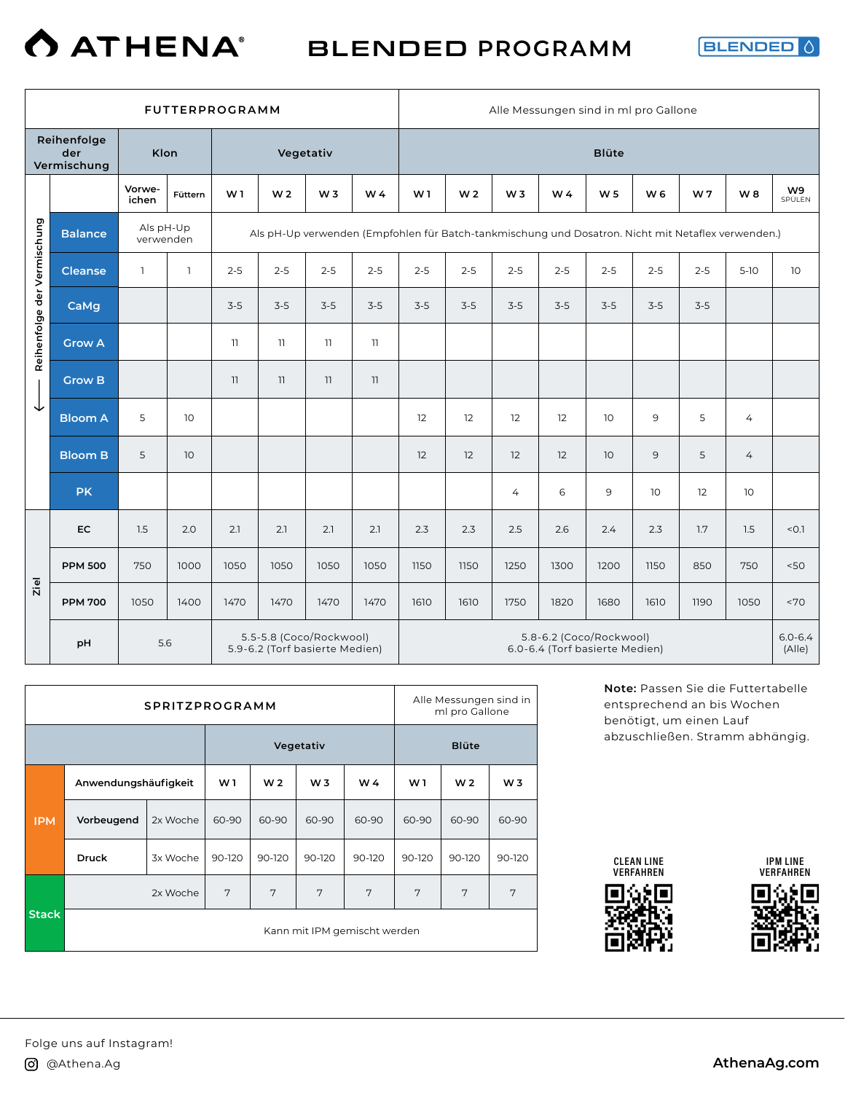#### **O ATHENA®** BLENDED **PROGRAMM**

**BLENDED** 

|                             |                                   |                        |                 | <b>FUTTERPROGRAMM</b> |                |                                                           |                                                                                                    |                |                |                | Alle Messungen sind in ml pro Gallone                     |                 |         |                |        |                       |
|-----------------------------|-----------------------------------|------------------------|-----------------|-----------------------|----------------|-----------------------------------------------------------|----------------------------------------------------------------------------------------------------|----------------|----------------|----------------|-----------------------------------------------------------|-----------------|---------|----------------|--------|-----------------------|
|                             | Reihenfolge<br>der<br>Vermischung | Klon                   |                 |                       |                | Vegetativ                                                 |                                                                                                    |                |                |                |                                                           | <b>Blüte</b>    |         |                |        |                       |
|                             |                                   | Vorwe-<br>ichen        | Füttern         | W <sub>1</sub>        | W <sub>2</sub> | W <sub>3</sub>                                            | W4                                                                                                 | W <sub>1</sub> | W <sub>2</sub> | W <sub>3</sub> | W4                                                        | W <sub>5</sub>  | W 6     | W <sub>7</sub> | W8     | W9<br>SPÜLEN          |
|                             | <b>Balance</b>                    | Als pH-Up<br>verwenden |                 |                       |                |                                                           | Als pH-Up verwenden (Empfohlen für Batch-tankmischung und Dosatron. Nicht mit Netaflex verwenden.) |                |                |                |                                                           |                 |         |                |        |                       |
|                             | <b>Cleanse</b>                    | $\mathbf{1}$           | $\mathbf{1}$    | $2 - 5$               | $2 - 5$        | $2 - 5$                                                   | $2 - 5$                                                                                            | $2 - 5$        | $2 - 5$        | $2 - 5$        | $2 - 5$                                                   | $2 - 5$         | $2 - 5$ | $2 - 5$        | $5-10$ | 10 <sup>°</sup>       |
|                             | CaMg                              |                        |                 | $3-5$                 | $3-5$          | $3-5$                                                     | $3-5$                                                                                              | $3-5$          | $3-5$          | $3-5$          | $3-5$                                                     | $3 - 5$         | $3-5$   | $3 - 5$        |        |                       |
| Reihenfolge der Vermischung | <b>Grow A</b>                     |                        |                 | 11                    | 11             | 11                                                        | 11                                                                                                 |                |                |                |                                                           |                 |         |                |        |                       |
| ↓                           | <b>Grow B</b>                     |                        |                 | 11                    | 11             | 11                                                        | 11                                                                                                 |                |                |                |                                                           |                 |         |                |        |                       |
|                             | <b>Bloom A</b>                    | 5                      | 10              |                       |                |                                                           |                                                                                                    | 12             | 12             | 12             | 12                                                        | 10              | 9       | 5              | 4      |                       |
|                             | <b>Bloom B</b>                    | 5                      | 10 <sup>°</sup> |                       |                |                                                           |                                                                                                    | 12             | 12             | 12             | 12                                                        | 10 <sup>°</sup> | 9       | 5              | 4      |                       |
|                             | <b>PK</b>                         |                        |                 |                       |                |                                                           |                                                                                                    |                |                | $\overline{4}$ | 6                                                         | 9               | 10      | 12             | 10     |                       |
|                             | <b>EC</b>                         | 1.5                    | 2.0             | 2.1                   | 2.1            | 2.1                                                       | 2.1                                                                                                | 2.3            | 2.3            | 2.5            | 2.6                                                       | 2.4             | 2.3     | 1.7            | 1.5    | < 0.1                 |
|                             | <b>PPM 500</b>                    | 750                    | 1000            | 1050                  | 1050           | 1050                                                      | 1050                                                                                               | 1150           | 1150           | 1250           | 1300                                                      | 1200            | 1150    | 850            | 750    | 50<                   |
| Ziel                        | <b>PPM 700</b>                    | 1050                   | 1400            | 1470                  | 1470           | 1470                                                      | 1470                                                                                               | 1610           | 1610           | 1750           | 1820                                                      | 1680            | 1610    | 1190           | 1050   | ~170                  |
|                             | pH                                | 5.6                    |                 |                       |                | 5.5-5.8 (Coco/Rockwool)<br>5.9-6.2 (Torf basierte Medien) |                                                                                                    |                |                |                | 5.8-6.2 (Coco/Rockwool)<br>6.0-6.4 (Torf basierte Medien) |                 |         |                |        | $6.0 - 6.4$<br>(Alle) |

|              |                      | <b>SPRITZPROGRAMM</b> |                |                |                |                              |                | Alle Messungen sind in<br>ml pro Gallone |                |
|--------------|----------------------|-----------------------|----------------|----------------|----------------|------------------------------|----------------|------------------------------------------|----------------|
|              |                      |                       |                |                | Vegetativ      |                              |                | <b>Blüte</b>                             |                |
|              | Anwendungshäufigkeit |                       | W <sub>1</sub> | W <sub>2</sub> | W <sub>3</sub> | W 4                          | W <sub>1</sub> | W <sub>2</sub>                           | W <sub>3</sub> |
| <b>IPM</b>   | Vorbeugend           | 2x Woche              | 60-90          | 60-90          | 60-90          | 60-90                        | 60-90          | 60-90                                    | 60-90          |
|              | <b>Druck</b>         | 3x Woche              | 90-120         | 90-120         | 90-120         | 90-120                       | 90-120         | 90-120                                   | 90-120         |
|              |                      | 2x Woche              | 7              | 7              | 7              | 7                            | 7              | 7                                        | 7              |
| <b>Stack</b> |                      |                       |                |                |                | Kann mit IPM gemischt werden |                |                                          |                |

**Note:** Passen Sie die Futtertabelle entsprechend an bis Wochen benötigt, um einen Lauf abzuschließen. Stramm abhängig.